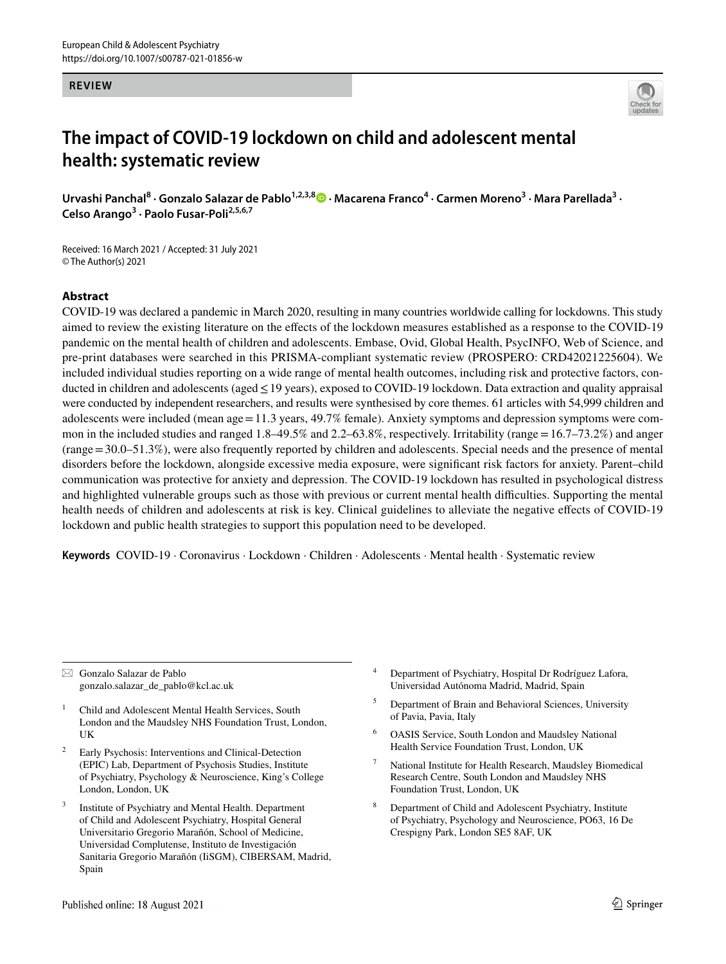#### **REVIEW**



# **The impact of COVID‑19 lockdown on child and adolescent mental health: systematic review**

Urvashi Panchal<sup>8</sup> · Gonzalo Salazar de Pablo<sup>1,2,3,8</sup> • Macarena Franco<sup>4</sup> · Carmen Moreno<sup>3</sup> · Mara Parellada<sup>3</sup> · **Celso Arango<sup>3</sup> · Paolo Fusar‑Poli2,5,6,7**

Received: 16 March 2021 / Accepted: 31 July 2021 © The Author(s) 2021

#### **Abstract**

COVID-19 was declared a pandemic in March 2020, resulting in many countries worldwide calling for lockdowns. This study aimed to review the existing literature on the efects of the lockdown measures established as a response to the COVID-19 pandemic on the mental health of children and adolescents. Embase, Ovid, Global Health, PsycINFO, Web of Science, and pre-print databases were searched in this PRISMA-compliant systematic review (PROSPERO: CRD42021225604). We included individual studies reporting on a wide range of mental health outcomes, including risk and protective factors, conducted in children and adolescents (aged≤19 years), exposed to COVID-19 lockdown. Data extraction and quality appraisal were conducted by independent researchers, and results were synthesised by core themes. 61 articles with 54,999 children and adolescents were included (mean  $age=11.3$  years,  $49.7\%$  female). Anxiety symptoms and depression symptoms were common in the included studies and ranged 1.8–49.5% and 2.2–63.8%, respectively. Irritability (range=16.7–73.2%) and anger (range=30.0–51.3%), were also frequently reported by children and adolescents. Special needs and the presence of mental disorders before the lockdown, alongside excessive media exposure, were signifcant risk factors for anxiety. Parent–child communication was protective for anxiety and depression. The COVID-19 lockdown has resulted in psychological distress and highlighted vulnerable groups such as those with previous or current mental health difculties. Supporting the mental health needs of children and adolescents at risk is key. Clinical guidelines to alleviate the negative efects of COVID-19 lockdown and public health strategies to support this population need to be developed.

Keywords COVID-19 · Coronavirus · Lockdown · Children · Adolescents · Mental health · Systematic review

 $\boxtimes$  Gonzalo Salazar de Pablo gonzalo.salazar\_de\_pablo@kcl.ac.uk

- <sup>1</sup> Child and Adolescent Mental Health Services, South London and the Maudsley NHS Foundation Trust, London, UK
- Early Psychosis: Interventions and Clinical-Detection (EPIC) Lab, Department of Psychosis Studies, Institute of Psychiatry, Psychology & Neuroscience, King's College London, London, UK
- <sup>3</sup> Institute of Psychiatry and Mental Health. Department of Child and Adolescent Psychiatry, Hospital General Universitario Gregorio Marañón, School of Medicine, Universidad Complutense, Instituto de Investigación Sanitaria Gregorio Marañón (IiSGM), CIBERSAM, Madrid, Spain
- <sup>4</sup> Department of Psychiatry, Hospital Dr Rodríguez Lafora, Universidad Autónoma Madrid, Madrid, Spain
- <sup>5</sup> Department of Brain and Behavioral Sciences, University of Pavia, Pavia, Italy
- <sup>6</sup> OASIS Service, South London and Maudsley National Health Service Foundation Trust, London, UK
- <sup>7</sup> National Institute for Health Research, Maudsley Biomedical Research Centre, South London and Maudsley NHS Foundation Trust, London, UK
- <sup>8</sup> Department of Child and Adolescent Psychiatry, Institute of Psychiatry, Psychology and Neuroscience, PO63, 16 De Crespigny Park, London SE5 8AF, UK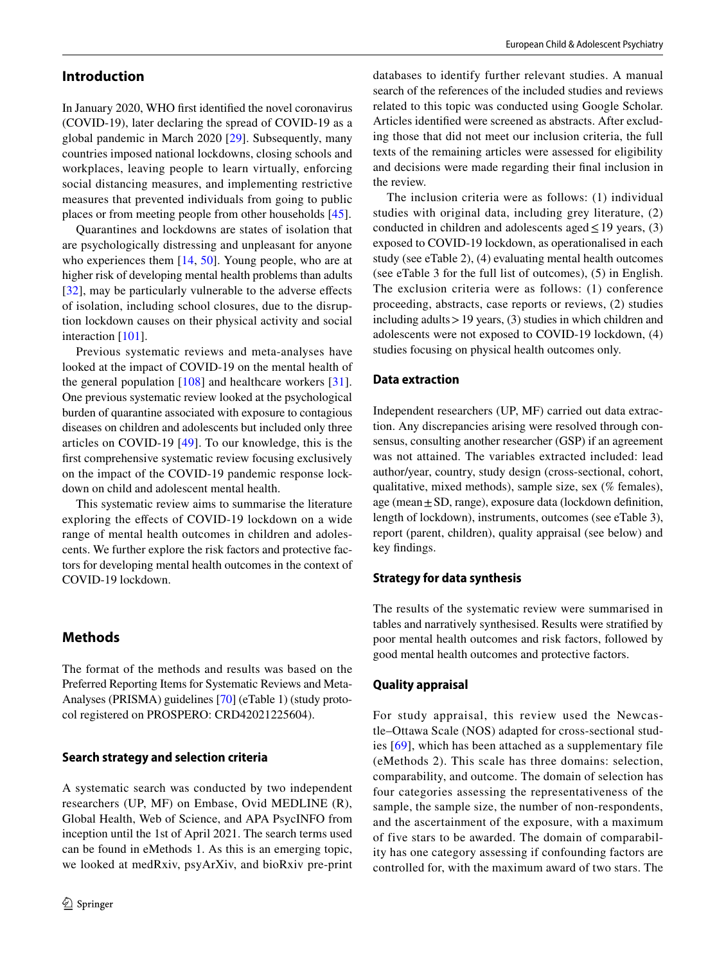## **Introduction**

In January 2020, WHO frst identifed the novel coronavirus (COVID-19), later declaring the spread of COVID-19 as a global pandemic in March 2020 [29]. Subsequently, many countries imposed national lockdowns, closing schools and workplaces, leaving people to learn virtually, enforcing social distancing measures, and implementing restrictive measures that prevented individuals from going to public places or from meeting people from other households [45].

Quarantines and lockdowns are states of isolation that are psychologically distressing and unpleasant for anyone who experiences them [14, 50]. Young people, who are at higher risk of developing mental health problems than adults [32], may be particularly vulnerable to the adverse effects of isolation, including school closures, due to the disruption lockdown causes on their physical activity and social interaction [101].

Previous systematic reviews and meta-analyses have looked at the impact of COVID-19 on the mental health of the general population [108] and healthcare workers [31]. One previous systematic review looked at the psychological burden of quarantine associated with exposure to contagious diseases on children and adolescents but included only three articles on COVID-19 [49]. To our knowledge, this is the frst comprehensive systematic review focusing exclusively on the impact of the COVID-19 pandemic response lockdown on child and adolescent mental health.

This systematic review aims to summarise the literature exploring the efects of COVID-19 lockdown on a wide range of mental health outcomes in children and adolescents. We further explore the risk factors and protective factors for developing mental health outcomes in the context of COVID-19 lockdown.

## **Methods**

The format of the methods and results was based on the Preferred Reporting Items for Systematic Reviews and Meta-Analyses (PRISMA) guidelines [70] (eTable 1) (study protocol registered on PROSPERO: CRD42021225604).

#### **Search strategy and selection criteria**

A systematic search was conducted by two independent researchers (UP, MF) on Embase, Ovid MEDLINE (R), Global Health, Web of Science, and APA PsycINFO from inception until the 1st of April 2021. The search terms used can be found in eMethods 1. As this is an emerging topic, we looked at medRxiv, psyArXiv, and bioRxiv pre-print databases to identify further relevant studies. A manual search of the references of the included studies and reviews related to this topic was conducted using Google Scholar. Articles identifed were screened as abstracts. After excluding those that did not meet our inclusion criteria, the full texts of the remaining articles were assessed for eligibility and decisions were made regarding their fnal inclusion in the review.

The inclusion criteria were as follows: (1) individual studies with original data, including grey literature, (2) conducted in children and adolescents aged  $\leq$  19 years, (3) exposed to COVID-19 lockdown, as operationalised in each study (see eTable 2), (4) evaluating mental health outcomes (see eTable 3 for the full list of outcomes), (5) in English. The exclusion criteria were as follows: (1) conference proceeding, abstracts, case reports or reviews, (2) studies including adults>19 years, (3) studies in which children and adolescents were not exposed to COVID-19 lockdown, (4) studies focusing on physical health outcomes only.

## **Data extraction**

Independent researchers (UP, MF) carried out data extraction. Any discrepancies arising were resolved through consensus, consulting another researcher (GSP) if an agreement was not attained. The variables extracted included: lead author/year, country, study design (cross-sectional, cohort, qualitative, mixed methods), sample size, sex (% females), age (mean $\pm$ SD, range), exposure data (lockdown definition, length of lockdown), instruments, outcomes (see eTable 3), report (parent, children), quality appraisal (see below) and key fndings.

#### **Strategy for data synthesis**

The results of the systematic review were summarised in tables and narratively synthesised. Results were stratifed by poor mental health outcomes and risk factors, followed by good mental health outcomes and protective factors.

#### **Quality appraisal**

For study appraisal, this review used the Newcastle–Ottawa Scale (NOS) adapted for cross-sectional studies [69], which has been attached as a supplementary file (eMethods 2). This scale has three domains: selection, comparability, and outcome. The domain of selection has four categories assessing the representativeness of the sample, the sample size, the number of non-respondents, and the ascertainment of the exposure, with a maximum of five stars to be awarded. The domain of comparability has one category assessing if confounding factors are controlled for, with the maximum award of two stars. The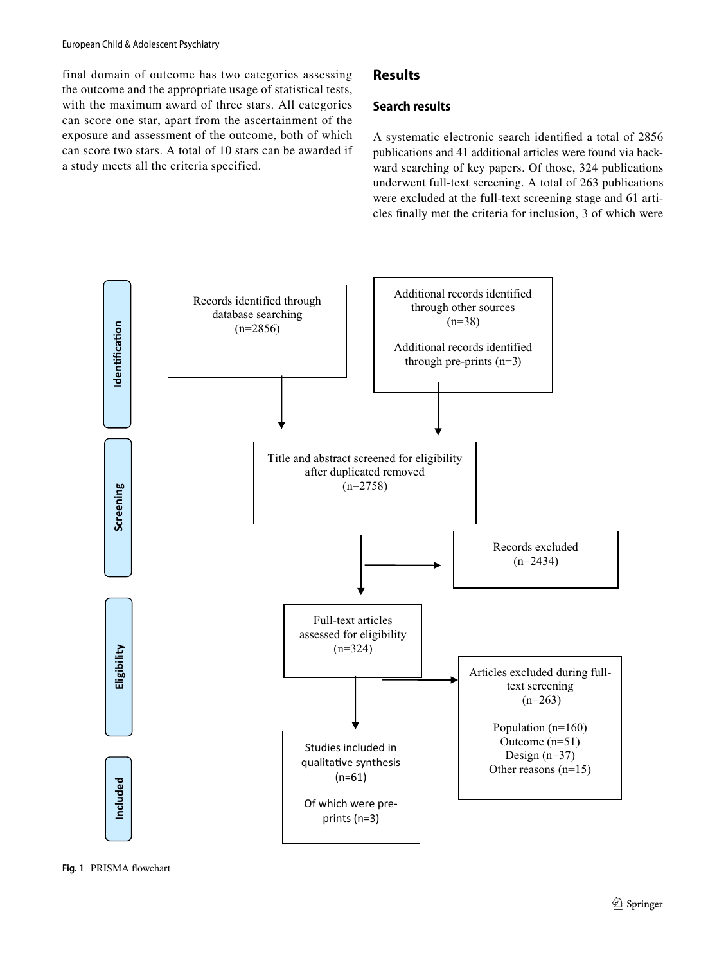final domain of outcome has two categories assessing the outcome and the appropriate usage of statistical tests, with the maximum award of three stars. All categories can score one star, apart from the ascertainment of the exposure and assessment of the outcome, both of which can score two stars. A total of 10 stars can be awarded if a study meets all the criteria specified.

## **Results**

## **Search results**

A systematic electronic search identifed a total of 2856 publications and 41 additional articles were found via backward searching of key papers. Of those, 324 publications underwent full-text screening. A total of 263 publications were excluded at the full-text screening stage and 61 articles fnally met the criteria for inclusion, 3 of which were



**Fig. 1** PRISMA fowchart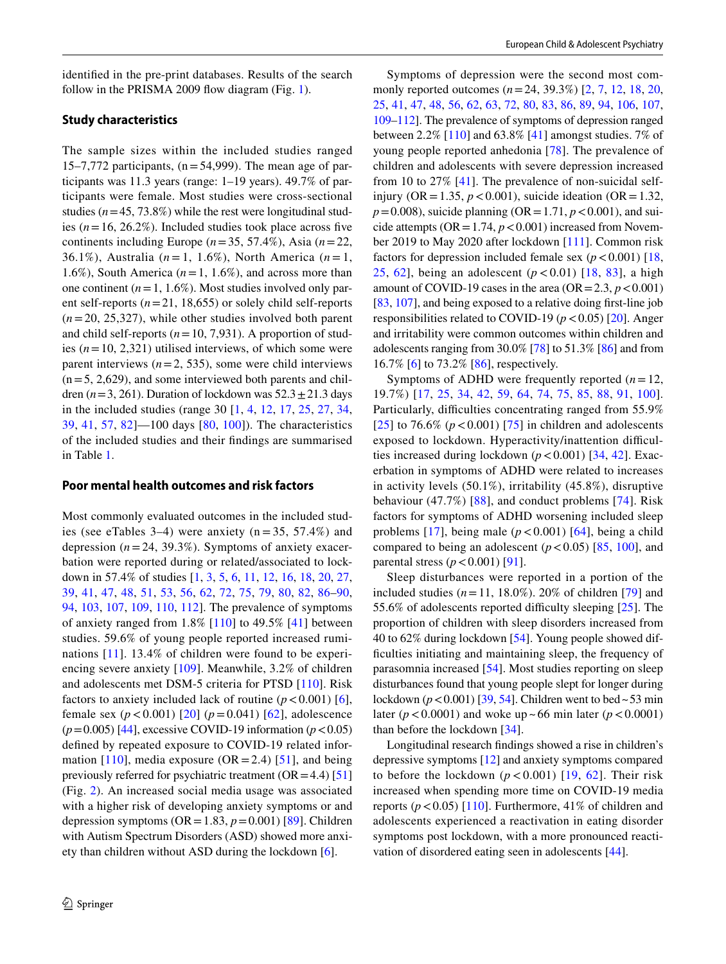identifed in the pre-print databases. Results of the search follow in the PRISMA 2009 fow diagram (Fig. 1).

## **Study characteristics**

The sample sizes within the included studies ranged 15–7,772 participants,  $(n=54,999)$ . The mean age of participants was 11.3 years (range: 1–19 years). 49.7% of participants were female. Most studies were cross-sectional studies  $(n=45, 73.8\%)$  while the rest were longitudinal studies  $(n=16, 26.2\%)$ . Included studies took place across five continents including Europe (*n*=35, 57.4%), Asia (*n*=22, 36.1%), Australia (*n* = 1, 1.6%), North America (*n* = 1, 1.6%), South America  $(n=1, 1.6\%)$ , and across more than one continent  $(n=1, 1.6\%)$ . Most studies involved only parent self-reports  $(n=21, 18,655)$  or solely child self-reports (*n*=20, 25,327), while other studies involved both parent and child self-reports  $(n=10, 7, 931)$ . A proportion of studies  $(n=10, 2,321)$  utilised interviews, of which some were parent interviews  $(n=2, 535)$ , some were child interviews  $(n=5, 2,629)$ , and some interviewed both parents and children ( $n=3$ , 261). Duration of lockdown was  $52.3 \pm 21.3$  days in the included studies (range 30 [1, 4, 12, 17, 25, 27, 34, 39, 41, 57, 82]—100 days [80, 100]). The characteristics of the included studies and their fndings are summarised in Table 1.

#### **Poor mental health outcomes and risk factors**

Most commonly evaluated outcomes in the included studies (see eTables 3–4) were anxiety  $(n = 35, 57.4\%)$  and depression  $(n=24, 39.3\%)$ . Symptoms of anxiety exacerbation were reported during or related/associated to lockdown in 57.4% of studies [1, 3, 5, 6, 11, 12, 16, 18, 20, 27, 39, 41, 47, 48, 51, 53, 56, 62, 72, 75, 79, 80, 82, 86–90, 94, 103, 107, 109, 110, 112]. The prevalence of symptoms of anxiety ranged from  $1.8\%$  [110] to 49.5% [41] between studies. 59.6% of young people reported increased ruminations [11]. 13.4% of children were found to be experiencing severe anxiety [109]. Meanwhile, 3.2% of children and adolescents met DSM-5 criteria for PTSD [110]. Risk factors to anxiety included lack of routine  $(p < 0.001)$  [6], female sex  $(p < 0.001)$  [20]  $(p = 0.041)$  [62], adolescence (*p*=0.005) [44], excessive COVID-19 information (*p*<0.05) defned by repeated exposure to COVID-19 related information [110], media exposure (OR = 2.4) [51], and being previously referred for psychiatric treatment  $(OR = 4.4)$  [51] (Fig. 2). An increased social media usage was associated with a higher risk of developing anxiety symptoms or and depression symptoms  $(OR = 1.83, p = 0.001)$  [89]. Children with Autism Spectrum Disorders (ASD) showed more anxiety than children without ASD during the lockdown [6].

Symptoms of depression were the second most commonly reported outcomes (*n*=24, 39.3%) [2, 7, 12, 18, 20, 25, 41, 47, 48, 56, 62, 63, 72, 80, 83, 86, 89, 94, 106, 107, 109–112]. The prevalence of symptoms of depression ranged between 2.2% [110] and 63.8% [41] amongst studies. 7% of young people reported anhedonia [78]. The prevalence of children and adolescents with severe depression increased from 10 to 27% [41]. The prevalence of non-suicidal selfinjury (OR = 1.35,  $p < 0.001$ ), suicide ideation (OR = 1.32,  $p = 0.008$ , suicide planning (OR = 1.71,  $p < 0.001$ ), and suicide attempts ( $OR = 1.74$ ,  $p < 0.001$ ) increased from November 2019 to May 2020 after lockdown [111]. Common risk factors for depression included female sex  $(p < 0.001)$  [18, 25, 62], being an adolescent (*p* < 0.01) [18, 83], a high amount of COVID-19 cases in the area  $(OR = 2.3, p < 0.001)$ [83, 107], and being exposed to a relative doing frst-line job responsibilities related to COVID-19 ( $p < 0.05$ ) [20]. Anger and irritability were common outcomes within children and adolescents ranging from 30.0% [78] to 51.3% [86] and from 16.7% [6] to 73.2% [86], respectively.

Symptoms of ADHD were frequently reported (*n*=12, 19.7%) [17, 25, 34, 42, 59, 64, 74, 75, 85, 88, 91, 100]. Particularly, difficulties concentrating ranged from 55.9% [25] to  $76.6\%$  ( $p < 0.001$ ) [75] in children and adolescents exposed to lockdown. Hyperactivity/inattention difficulties increased during lockdown  $(p < 0.001)$  [34, 42]. Exacerbation in symptoms of ADHD were related to increases in activity levels (50.1%), irritability (45.8%), disruptive behaviour (47.7%) [88], and conduct problems [74]. Risk factors for symptoms of ADHD worsening included sleep problems [17], being male  $(p < 0.001)$  [64], being a child compared to being an adolescent  $(p < 0.05)$  [85, 100], and parental stress  $(p < 0.001)$  [91].

Sleep disturbances were reported in a portion of the included studies  $(n=11, 18.0\%)$ . 20% of children [79] and 55.6% of adolescents reported difficulty sleeping  $[25]$ . The proportion of children with sleep disorders increased from 40 to 62% during lockdown [54]. Young people showed diffculties initiating and maintaining sleep, the frequency of parasomnia increased [54]. Most studies reporting on sleep disturbances found that young people slept for longer during lockdown  $(p<0.001)$  [39, 54]. Children went to bed $\sim$  53 min later ( $p < 0.0001$ ) and woke up ~ 66 min later ( $p < 0.0001$ ) than before the lockdown [34].

Longitudinal research fndings showed a rise in children's depressive symptoms [12] and anxiety symptoms compared to before the lockdown  $(p < 0.001)$  [19, 62]. Their risk increased when spending more time on COVID-19 media reports ( $p < 0.05$ ) [110]. Furthermore, 41% of children and adolescents experienced a reactivation in eating disorder symptoms post lockdown, with a more pronounced reactivation of disordered eating seen in adolescents [44].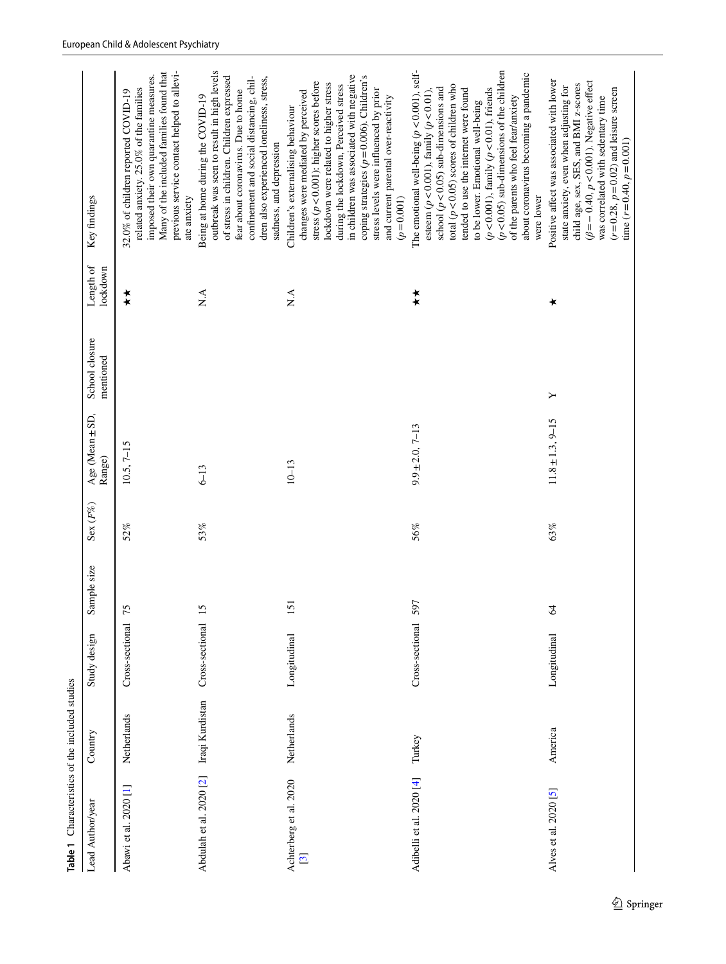| Table 1 Characteristics of the included studies |                 |                 |             |             |                           |                             |                       |                                                                                                                                                                                                                                                                                                                                                                                                                                                                   |
|-------------------------------------------------|-----------------|-----------------|-------------|-------------|---------------------------|-----------------------------|-----------------------|-------------------------------------------------------------------------------------------------------------------------------------------------------------------------------------------------------------------------------------------------------------------------------------------------------------------------------------------------------------------------------------------------------------------------------------------------------------------|
| Lead Author/year                                | Country         | Study design    | Sample size | Sex $(F\%)$ | Age (Mean ± SD,<br>Range) | School closure<br>mentioned | Length of<br>lockdown | Key findings                                                                                                                                                                                                                                                                                                                                                                                                                                                      |
| Abawi et al. 2020 [1]                           | Netherlands     | Cross-sectional | 75          | 52%         | $10.5, 7 - 15$            |                             | ∗∗                    | previous service contact helped to allevi-<br>Many of the included families found that<br>imposed their own quarantine measures.<br>related anxiety. 25.0% of the families<br>32.0% of children reported COVID-19<br>ate anxiety                                                                                                                                                                                                                                  |
| Abdulah et al. 2020 <sup>[2]</sup>              | Iraqi Kurdistan | Cross-sectional | 5           | 53%         | $6 - 13$                  |                             | A.A                   | outbreak was seen to result in high levels<br>of stress in children. Children expressed<br>confinement and social distancing, chil-<br>dren also experienced loneliness, stress,<br>fear about coronavirus. Due to home<br>Being at home during the COVID-19<br>sadness, and depression                                                                                                                                                                           |
| Achterberg et al. 2020<br>$\mathbf{e}$          | Netherlands     | Longitudinal    | 5           |             | $10 - 13$                 |                             | ∧`<br>Z               | in children was associated with negative<br>coping strategies ( $p = 0.006$ ). Children's<br>stress $(p < 0.001)$ : higher scores before<br>lockdown were related to higher stress<br>during the lockdown, Perceived stress<br>stress levels were influenced by prior<br>changes were mediated by perceived<br>and current parental over-reactivity<br>Children's externalising behaviour<br>$(p=0.001)$                                                          |
| Adibelli et al. 2020 [4]                        | Turkey          | Cross-sectional | 597         | 56%         | $9.9 \pm 2.0, 7 - 13$     |                             |                       | $(p<0.05)$ sub-dimensions of the children<br>The emotional well-being $(p < 0.001)$ , self-<br>about coronavirus becoming a pandemic<br>total ( $p < 0.05$ ) scores of children who<br>school ( $p < 0.05$ ) sub-dimensions and<br>$(p<0.001)$ , family $(p<0.01)$ , friends<br>tended to use the internet were found<br>esteem ( $p < 0.001$ ), family ( $p < 0.01$ )<br>of the parents who feel fear/anxiety<br>to be lower. Emotional well-being<br>were lower |
| Alves et al. 2020 [5]                           | America         | Longitudinal    | 2           | 63%         | $11.8 \pm 1.3$ , 9-15     | ≻                           |                       | Positive affect was associated with lower<br>$(\beta = -0.40, p < 0.001)$ . Negative effect<br>child age, sex, SES, and BMI z-scores<br>state anxiety, even when adjusting for<br>$(r=0.28, p=0.02)$ and leisure screen<br>was correlated with sedentary time<br>time $(r=0.40, p=0.001)$                                                                                                                                                                         |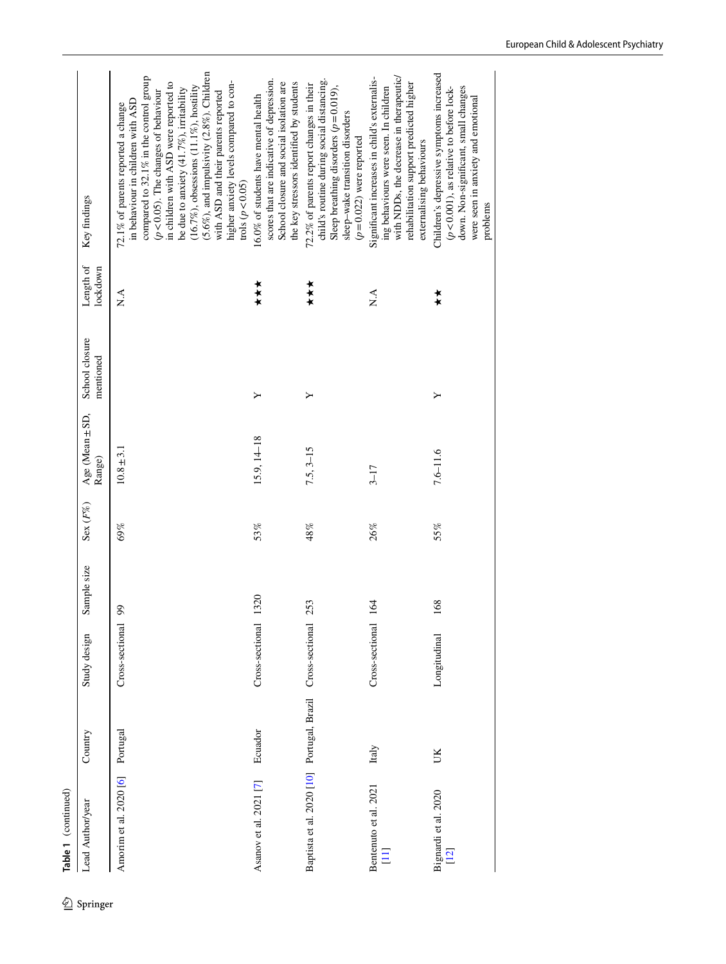| ť<br>ţ<br>ľ<br>ē |  |
|------------------|--|

 $\underline{\textcircled{\tiny 2}}$  Springer

| Table 1 (continued)                                        |          |                 |                |             |                           |                             |                       |                                                                                                                                                                                                                                                                                                                                                                                                                                                             |
|------------------------------------------------------------|----------|-----------------|----------------|-------------|---------------------------|-----------------------------|-----------------------|-------------------------------------------------------------------------------------------------------------------------------------------------------------------------------------------------------------------------------------------------------------------------------------------------------------------------------------------------------------------------------------------------------------------------------------------------------------|
| Lead Author/year                                           | Country  | Study design    | Sample size    | Sex $(F\%)$ | Age (Mean ± SD,<br>Range) | School closure<br>mentioned | Length of<br>lockdown | Key findings                                                                                                                                                                                                                                                                                                                                                                                                                                                |
| Amorim et al. 2020 [6]                                     | Portugal | Cross-sectional | $\delta$       | 69%         | $10.8 \pm 3.1$            |                             | ∧`N                   | $(5.6\%)$ , and impulsivity $(2.8\%)$ . Children<br>compared to 32.1% in the control group<br>higher anxiety levels compared to con-<br>in children with ASD were reported to<br>$(16.7\%)$ , obsessions $(11.1\%)$ , hostility<br>be due to anxiety (41.7%), irritability<br>$(p<0.05)$ . The changes of behaviour<br>with ASD and their parents reported<br>in behaviour in children with ASD<br>72.1% of parents reported a change<br>trols $(p < 0.05)$ |
| Asanov et al. 2021 [7]                                     | Ecuador  | Cross-sectional | 1320           | 53%         | 15.9, 14-18               |                             |                       | scores that are indicative of depression.<br>the key stressors identified by students<br>School closure and social isolation are<br>.6.0% of students have mental health                                                                                                                                                                                                                                                                                    |
| Baptista et al. 2020 [10] Portugal, Brazil Cross-sectional |          |                 | 253            | 48%         | $7.5, 3-15$               | ≻                           | 大大大                   | child's routine during social distancing.<br>72.2% of parents report changes in their<br>Sleep breathing disorders $(p=0.019)$ ,<br>sleep-wake transition disorders<br>$(p=0.022)$ were reported                                                                                                                                                                                                                                                            |
| Bentenuto et al. 2021<br>$\Xi$                             | Italy    | Cross-sectional | $\overline{6}$ | 26%         | $3 - 17$                  |                             | ∧`<br>Z               | with NDDs, the decrease in therapeutic/<br>Significant increases in child's externalis-<br>rehabilitation support predicted higher<br>ing behaviours were seen. In children<br>externalising behaviours                                                                                                                                                                                                                                                     |
| Bignardi et al. 2020<br>[12]                               | ŠК       | Longitudinal    | 168            | 55%         | $7.6 - 11.6$              |                             | ∗                     | Children's depressive symptoms increased<br>down. Non-significant, small changes<br>$(p < 0.001)$ , as relative to before lock-<br>were seen in anxiety and emotional                                                                                                                                                                                                                                                                                       |

problems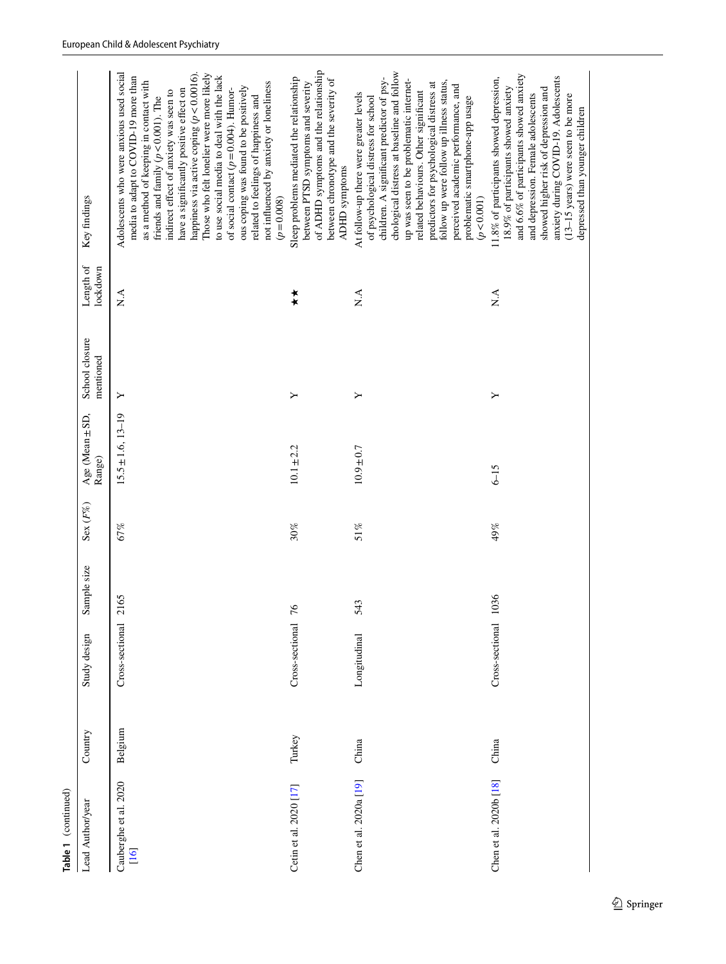| Lead Author/year              | Country | Study design       | Sample size | Sex $(F\%)$ | Age (Mean ± SD,<br>Range) | School closure<br>mentioned | Length of<br>lockdown | Key findings                                                                                                                                                                                                                                                                                                                                                                                                                                                                                                                                                                               |
|-------------------------------|---------|--------------------|-------------|-------------|---------------------------|-----------------------------|-----------------------|--------------------------------------------------------------------------------------------------------------------------------------------------------------------------------------------------------------------------------------------------------------------------------------------------------------------------------------------------------------------------------------------------------------------------------------------------------------------------------------------------------------------------------------------------------------------------------------------|
| Cauberghe et al. 2020<br>[16] | Belgium | Cross-sectional    | 2165        | 67%         | $15.5 \pm 1.6$ , $13-19$  | ≻                           | A.A                   | Adolescents who were anxious used social<br>happiness via active coping $(p < 0.0016)$ .<br>Those who felt lonelier were more likely<br>to use social media to deal with the lack<br>media to adapt to COVID-19 more than<br>as a method of keeping in contact with<br>not influenced by anxiety or loneliness<br>ous coping was found to be positively<br>have a significantly positive effect on<br>of social contact ( $p = 0.004$ ). Humor-<br>indirect effect of anxiety was seen to<br>related to feelings of happiness and<br>friends and family $(p < 0.001)$ . The<br>$(p=0.008)$ |
| Cetin et al. 2020 [17]        | Turkey  | Cross-sectional 76 |             | $30\%$      | $10.1 \pm 2.2$            | ≻                           |                       | of ADHD symptoms and the relationship<br>Sleep problems mediated the relationship<br>between chronotype and the severity of<br>between PTSD symptoms and severity<br>ADHD symptoms                                                                                                                                                                                                                                                                                                                                                                                                         |
| Chen et al. 2020a [19]        | China   | Longitudinal       | 543         | $51\%$      | $10.9 \pm 0.7$            | ≻                           | A.A                   | chological distress at baseline and follow<br>children. A significant predictor of psy-<br>up was seen to be problematic internet-<br>follow up were follow up illness status,<br>predictors for psychological distress at<br>perceived academic performance, and<br>related behaviours. Other significant<br>At follow-up there were greater levels<br>of psychological distress for school<br>problematic smartphone-app usage<br>(p < 0.001)                                                                                                                                            |
| Chen et al. 2020b [18]        | China   | Cross-sectional    | 1036        | 49%         | $6 - 15$                  | Y                           | Χ.Α                   | and 6.6% of participants showed anxiety<br>anxiety during COVID-19. Adolescents<br>11.8% of participants showed depression,<br>18.9% of participants showed anxiety<br>showed higher risk of depression and<br>and depression. Female adolescents<br>$(13-15 \text{ years})$ were seen to be more<br>depressed than younger children                                                                                                                                                                                                                                                       |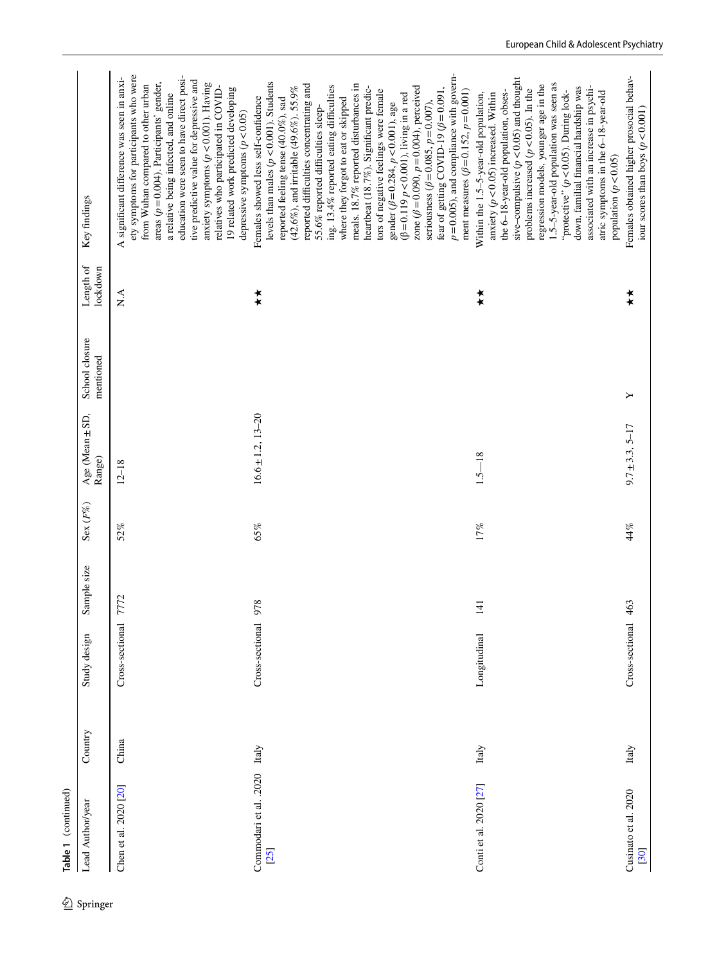| Table 1 (continued) | Range)<br>Sex $(F\%)$<br>Sample size<br>Study design<br>Country<br>Lead Author/year | $12 - 18$<br>52%<br>7772<br>Cross-sectional<br>China<br>Chen et al. 2020 [20]                                                                                                                                                                                                                                                                                                                                                                                              | 65%<br>978<br>Cross-sectional<br>Italy<br>Commodari et al. .2020<br>[25]                                                                                                                                                                                                                                                                                                                                                                                                                                                                                                                                                                                                                                                                                                                                                 | $1.5 - 18$<br>17%<br>$\frac{1}{4}$<br>Longitudinal<br>Italy<br>Conti et al. 2020 [27]                                                                                                                                                                                                                                                                                                                                                                                                                  | 44%<br>463<br>Cross-sectional<br>Italy<br>Cusinato et al. 2020<br>[30]          |
|---------------------|-------------------------------------------------------------------------------------|----------------------------------------------------------------------------------------------------------------------------------------------------------------------------------------------------------------------------------------------------------------------------------------------------------------------------------------------------------------------------------------------------------------------------------------------------------------------------|--------------------------------------------------------------------------------------------------------------------------------------------------------------------------------------------------------------------------------------------------------------------------------------------------------------------------------------------------------------------------------------------------------------------------------------------------------------------------------------------------------------------------------------------------------------------------------------------------------------------------------------------------------------------------------------------------------------------------------------------------------------------------------------------------------------------------|--------------------------------------------------------------------------------------------------------------------------------------------------------------------------------------------------------------------------------------------------------------------------------------------------------------------------------------------------------------------------------------------------------------------------------------------------------------------------------------------------------|---------------------------------------------------------------------------------|
|                     | School closure<br>mentioned<br>Age (Mean ± SD,                                      |                                                                                                                                                                                                                                                                                                                                                                                                                                                                            | $16.6 \pm 1.2, 13 - 20$                                                                                                                                                                                                                                                                                                                                                                                                                                                                                                                                                                                                                                                                                                                                                                                                  |                                                                                                                                                                                                                                                                                                                                                                                                                                                                                                        | ≻<br>$9.7 \pm 3.3, 5 - 17$                                                      |
|                     | Length of<br>lockdown                                                               | ∡<br>Z                                                                                                                                                                                                                                                                                                                                                                                                                                                                     | †<br>★                                                                                                                                                                                                                                                                                                                                                                                                                                                                                                                                                                                                                                                                                                                                                                                                                   | ∗∗                                                                                                                                                                                                                                                                                                                                                                                                                                                                                                     |                                                                                 |
|                     | Key findings                                                                        | ety symptoms for participants who were<br>education were seen to have direct posi-<br>A significant difference was seen in anxi-<br>tive predictive value for depressive and<br>areas ( $p = 0.004$ ). Participants' gender,<br>anxiety symptoms $(p < 0.001)$ . Having<br>from Wuhan compared to other urban<br>19 related work predicted developing<br>relatives who participated in COVID-<br>a relative being infected, and online<br>depressive symptoms $(p < 0.05)$ | $p = 0.005$ ), and compliance with govern-<br>levels than males ( $p < 0.001$ ). Students<br>meals. 18.7% reported disturbances in<br>reported difficulties concentrating and<br>ing. 13.4% reported eating difficulties<br>$(42.6\%)$ , and irritable $(49.6\%)$ . 55.9%<br>heartbeat (18.7%). Significant predic-<br>zone ( $\beta$ =0.090, $p$ =0.004), perceived<br>tors of negative feelings were female<br>fear of getting COVID-19 ( $\beta$ = 0.091,<br>ment measures ( $\beta$ = 0.152, $p$ = 0.001)<br>$(\beta = 0.119 p < 0.001)$ , living in a red<br>Females showed less self-confidence<br>reported feeling tense (40.0%), sad<br>where they forgot to eat or skipped<br>seriousness ( $\beta$ = 0.085, $p$ = 0.007),<br>gender ( $\beta$ = 0.284, $p$ < 0.001), age<br>55.6% reported difficulties sleep- | sive–compulsive $(p < 0.05)$ and thought<br>1.5-5-year-old population was seen as<br>regression models, younger age in the<br>down, familial financial hardship was<br>associated with an increase in psychi-<br>problems increased ( $p < 0.05$ ). In the<br>the 6-18-year-old population, obses-<br>"protective" ( $p < 0.05$ ). During lock-<br>atric symptoms in the 6-18-year-old<br>Within the 1.5-5-year-old population,<br>anxiety ( $p$ <0.05) increased. Within<br>population ( $p < 0.05$ ) | Females obtained higher prosocial behav-<br>iour scores than boys $(p < 0.001)$ |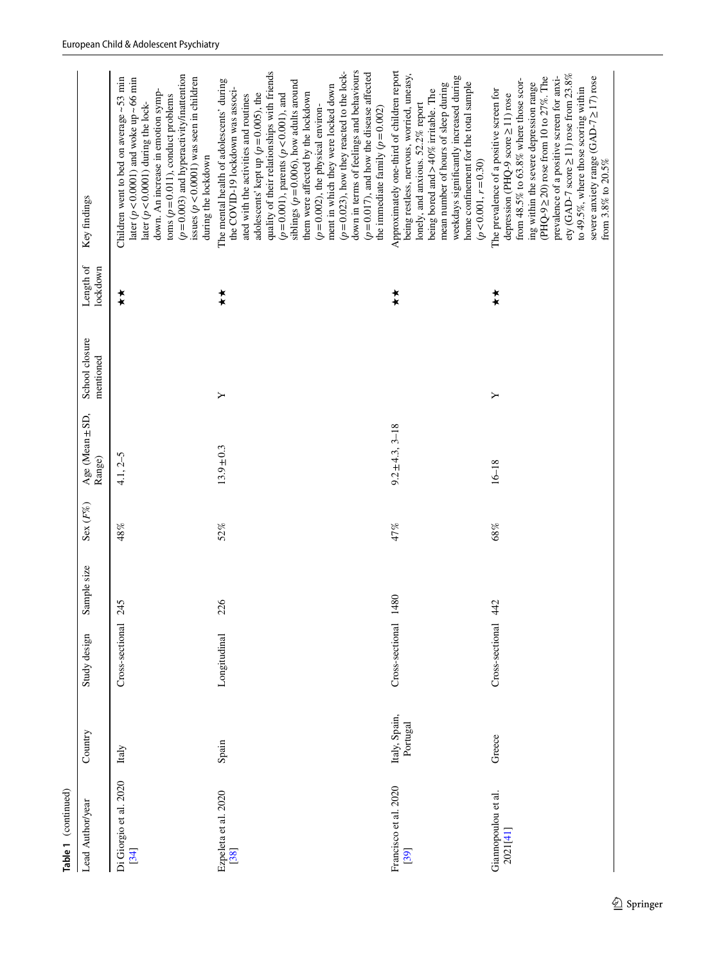| Table 1 (continued)             |                           |                 |             |             |                           |                             |                       |                                                                                                                                                                                                                                                                                                                                                                                                                                                                                                                                                                                                                  |
|---------------------------------|---------------------------|-----------------|-------------|-------------|---------------------------|-----------------------------|-----------------------|------------------------------------------------------------------------------------------------------------------------------------------------------------------------------------------------------------------------------------------------------------------------------------------------------------------------------------------------------------------------------------------------------------------------------------------------------------------------------------------------------------------------------------------------------------------------------------------------------------------|
| Lead Author/year                | Country                   | Study design    | Sample size | Sex $(F\%)$ | Age (Mean ± SD,<br>Range) | School closure<br>mentioned | Length of<br>lockdown | Key findings                                                                                                                                                                                                                                                                                                                                                                                                                                                                                                                                                                                                     |
| Di Giorgio et al. 2020<br>[34]  | Italy                     | Cross-sectional | 245         | 48%         | $4.1, 2-5$                |                             | **                    | $(p=0.003)$ and hyperactivity/inattention<br>issues $(p<0.0001)$ was seen in children<br>Children went to bed on average $\sim$ 53 min<br>later ( $p < 0.0001$ ) and woke up ~ 66 min<br>down. An increase in emotion symp-<br>toms $(p=0.011)$ , conduct problems<br>later ( $p < 0.0001$ ) during the lock-<br>during the lockdown                                                                                                                                                                                                                                                                             |
| Ezpeleta et al. 2020<br>[38]    | Spain                     | Longitudinal    | 226         | 52%         | $13.9 \pm 0.3$            | ≻                           |                       | down in terms of feelings and behaviours<br>quality of their relationships with friends<br>$(p=0.023)$ , how they reacted to the lock-<br>$(p=0.017)$ , and how the disease affected<br>The mental health of adolescents' during<br>siblings ( $p = 0.006$ ), how adults around<br>ment in which they were locked down<br>the COVID-19 lockdown was associ-<br>them were affected by the lockdown<br>adolescents' kept up $(p = 0.005)$ , the<br>$(p=0.001)$ , parents $(p < 0.001)$ , and<br>ated with the activities and routines<br>$(p=0.002)$ , the physical environ-<br>the immediate family $(p = 0.002)$ |
| Francisco et al. 2020<br>[39]   | Italy, Spain,<br>Portugal | Cross-sectional | 1480        | 47%         | $9.2 \pm 4.3, 3 - 18$     |                             | **                    | Approximately one-third of children report<br>being restless, nervous, worried, uneasy,<br>weekdays significantly increased during<br>home confinement for the total sample<br>mean number of hours of sleep during<br>being bored and >40% irritable. The<br>lonely, and anxious. 52.2% report<br>$(p < 0.001, r = 0.30)$                                                                                                                                                                                                                                                                                       |
| Giannopoulou et al.<br>2021[41] | Greece                    | Cross-sectional | 42          | 68%         | $16 - 18$                 | ≻                           | **                    | ety (GAD-7 score $\geq$ 11) rose from 23.8%<br>prevalence of a positive screen for anxi-<br>(PHQ-9 $\geq$ 20) rose from 10 to 27%. The<br>severe anxiety range (GAD-7 $\geq$ 17) rose<br>from $48.5\%$ to 63.8% where those scor-<br>ing within the severe depression range<br>to 49.5%, where those scoring within<br>The prevalence of a positive screen for<br>depression (PHQ-9 score≥11) rose<br>from $3.8\%$ to $20.5\%$                                                                                                                                                                                   |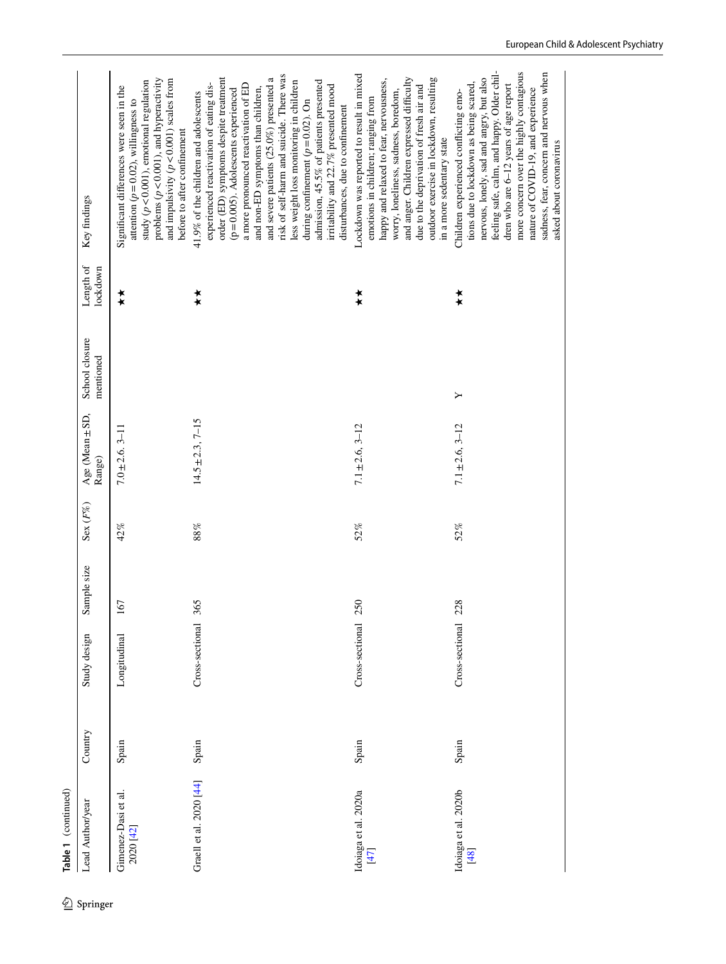|               | Table 1 (continued)              |         |                 |             |             |                           |                             |                       |                                                                                                                                                                                                                                                                                                                                                                                                                                                                                                                                                    |
|---------------|----------------------------------|---------|-----------------|-------------|-------------|---------------------------|-----------------------------|-----------------------|----------------------------------------------------------------------------------------------------------------------------------------------------------------------------------------------------------------------------------------------------------------------------------------------------------------------------------------------------------------------------------------------------------------------------------------------------------------------------------------------------------------------------------------------------|
| م 2∏ Springer | Lead Author/year                 | Country | Study design    | Sample size | Sex $(F\%)$ | Age (Mean ± SD,<br>Range) | School closure<br>mentioned | Length of<br>lockdown | Key findings                                                                                                                                                                                                                                                                                                                                                                                                                                                                                                                                       |
|               | Gimenez-Dasi et al.<br>2020 [42] | Spain   | Longitudinal    | 167         | 42%         | $7.0 \pm 2.6$ , 3-11      |                             | **                    | problems $(p < 0.001)$ , and hyperactivity<br>and impulsivity $(p < 0.001)$ scales from<br>study ( $p < 0.001$ ), emotional regulation<br>Significant differences were seen in the<br>attention ( $p = 0.02$ ), willingness to<br>before to after confinement                                                                                                                                                                                                                                                                                      |
|               | Graell et al. 2020 [44]          | Spain   | Cross-sectional | 365         | 88%         | $14.5 \pm 2.3, 7-15$      |                             |                       | risk of self-harm and suicide. There was<br>order (ED) symptoms despite treatment<br>and severe patients (25.0%) presented a<br>less weight loss monitoring in children<br>admission, 45.5% of patients presented<br>experienced reactivation of eating dis-<br>a more pronounced reactivation of ED<br>irritability and 22.7% presented mood<br>$(p=0.005)$ . Adolescents experienced<br>and non-ED symptoms than children,<br>41.9% of the children and adolescents<br>during confinement ( $p = 0.02$ ). On<br>disturbances, due to confinement |
|               | Idoiaga et al. 2020a<br>[47]     | Spain   | Cross-sectional | 250         | 52%         | $7.1 \pm 2.6$ , 3-12      |                             | ∗∗                    | Lockdown was reported to result in mixed<br>and anger. Children expressed difficulty<br>outdoor exercise in lockdown, resulting<br>happy and relaxed to fear, nervousness,<br>due to the deprivation of fresh air and<br>worry, loneliness, sadness, boredom,<br>emotions in children; ranging from<br>in a more sedentary state                                                                                                                                                                                                                   |
|               | Idoiaga et al. 2020b<br>$[48]$   | Spain   | Cross-sectional | 228         | 52%         | $7.1 \pm 2.6, 3 - 12$     | ≻                           | **                    | feeling safe, calm, and happy. Older chil-<br>more concern over the highly contagious<br>sadness, fear, concern and nervous when<br>nervous, lonely, sad and angry, but also<br>tions due to lockdown as being scared,<br>dren who are 6-12 years of age report<br>nature of COVID-19, and experience<br>Children experienced conflicting emo-<br>asked about coronavirus                                                                                                                                                                          |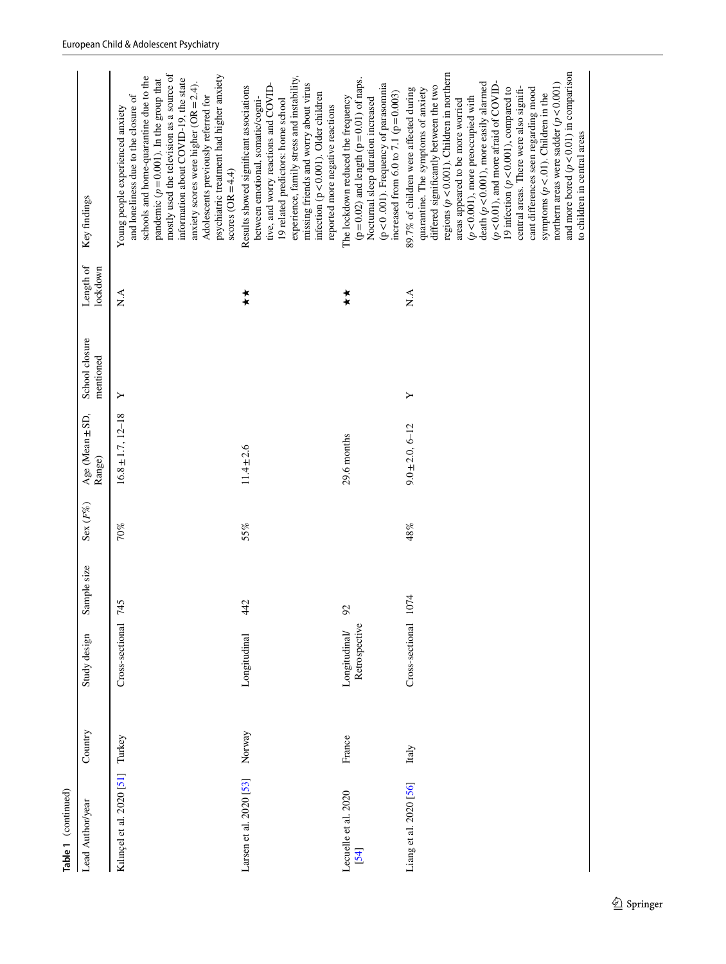| Table 1 (continued)          |         |                               |             |             |                           |                             |                       |                                                                                                                                                                                                                                                                                                                                                                                                                                                                                                                                                                                                                                                |
|------------------------------|---------|-------------------------------|-------------|-------------|---------------------------|-----------------------------|-----------------------|------------------------------------------------------------------------------------------------------------------------------------------------------------------------------------------------------------------------------------------------------------------------------------------------------------------------------------------------------------------------------------------------------------------------------------------------------------------------------------------------------------------------------------------------------------------------------------------------------------------------------------------------|
| Lead Author/year             | Country | Study design                  | Sample size | Sex $(F\%)$ | Age (Mean ± SD,<br>Range) | School closure<br>mentioned | Length of<br>lockdown | Key findings                                                                                                                                                                                                                                                                                                                                                                                                                                                                                                                                                                                                                                   |
| Kilinçel et al. 2020 [51]    | Turkey  | Cross-sectional               | 745         | 70%         | $16.8 \pm 1.7, 12 - 18$   | ≻                           | ∡<br>Z                | mostly used the television as a source of<br>psychiatric treatment had higher anxiety<br>schools and home-quarantine due to the<br>information about COVID-19, the state<br>pandemic $(p=0.001)$ . In the group that<br>anxiety scores were higher (OR = $2.4$ ).<br>and loneliness due to the closure of<br>Adolescents previously referred for<br>Young people experienced anxiety<br>scores $(OR = 4.4)$                                                                                                                                                                                                                                    |
| Larsen et al. 2020 [53]      | Norway  | Longitudinal                  | 42          | 55%         | $11.4 \pm 2.6$            |                             |                       | experience, family stress and instability,<br>missing friends and worry about virus<br>tive, and worry reactions and COVID-<br>Results showed significant associations<br>infection $(p<0.001)$ . Older children<br>between emotional, somatic/cogni-<br>19 related predictors: home school<br>reported more negative reactions                                                                                                                                                                                                                                                                                                                |
| Lecuelle et al. 2020<br>[54] | France  | Retrospective<br>Longitudinal | 92          |             | 29.6 months               |                             |                       | $(p=0.02)$ and length $(p=0.01)$ of naps.<br>$(p < 0.001)$ . Frequency of parasonnia<br>increased from 6.0 to 7.1 ( $p = 0.003$ )<br>The lockdown reduced the frequency<br>Nocturnal sleep duration increased                                                                                                                                                                                                                                                                                                                                                                                                                                  |
| Liang et al. 2020 [56]       | Italy   | Cross-sectional               | 074         | 48%         | $9.0 \pm 2.0, 6 - 12$     | ≻                           | ∧`N                   | and more bored $(p < 0.01)$ in comparison<br>regions $(p<0.001)$ . Children in northern<br>death ( $p < 0.001$ ), more easily alarmed<br>$(p < 0.01)$ , and more afraid of COVID-<br>northern areas were sadder $(p < 0.001)$<br>differed significantly between the two<br>central areas. There were also signifi-<br>cant differences seen regarding mood<br>quarantine. The symptoms of anxiety<br>19 infection $(p < 0.001)$ , compared to<br>89.7% of children were affected during<br>symptoms ( $p < .01$ ). Children in the<br>$(p<0.001)$ , more preoccupied with<br>areas appeared to be more worried<br>to children in central areas |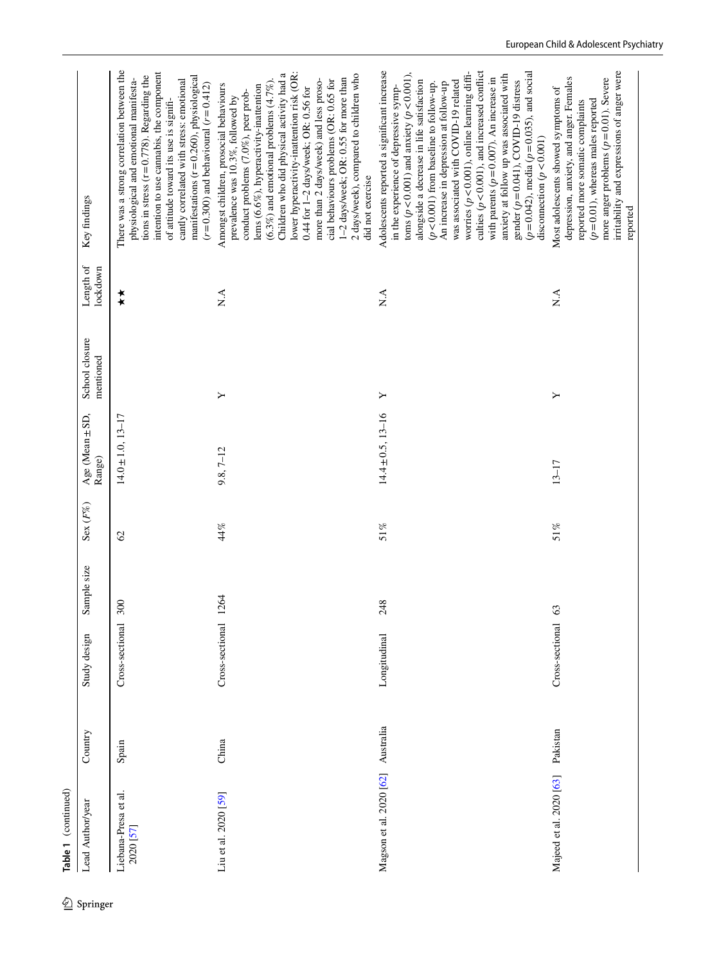|                   | Table 1 (continued)               |           |                 |             |               |                           |                             |                       |                                                                                                                                                                                                                                                                                                                                                                                                                                                                                                                                                                                                                                                  |
|-------------------|-----------------------------------|-----------|-----------------|-------------|---------------|---------------------------|-----------------------------|-----------------------|--------------------------------------------------------------------------------------------------------------------------------------------------------------------------------------------------------------------------------------------------------------------------------------------------------------------------------------------------------------------------------------------------------------------------------------------------------------------------------------------------------------------------------------------------------------------------------------------------------------------------------------------------|
| <u>⁄</u> Springer | Lead Author/year                  | Country   | Study design    | Sample size | Sex $(F\%)$   | Age (Mean ± SD,<br>Range) | School closure<br>mentioned | Length of<br>lockdown | Key findings                                                                                                                                                                                                                                                                                                                                                                                                                                                                                                                                                                                                                                     |
|                   | Liebana-Presa et al.<br>2020 [57] | Spain     | Cross-sectional | 300         | $\mathcal{S}$ | $14.0 \pm 1.0, 13 - 17$   |                             | ∗∗                    | There was a strong correlation between the<br>intention to use cannabis, the component<br>tions in stress ( $r = 0.778$ ). Regarding the<br>manifestations $(r=0.260)$ , physiological<br>physiological and emotional manifesta-<br>cantly correlated with stress: emotional<br>$(r = 0.300)$ and behavioural $(r = 0.412)$<br>of attitude toward its use is signifi-                                                                                                                                                                                                                                                                            |
|                   | Liu et al. 2020 [59]              | China     | Cross-sectional | 1264        | 44%           | $9.8, 7 - 12$             | ≻                           | ∧`N                   | lower hyperactivity-inattention risk (OR:<br>Children who did physical activity had a<br>2 days/week), compared to children who<br>1-2 days/week; OR: 0.55 for more than<br>cial behaviours problems (OR: 0.65 for<br>more than 2 days/week) and less proso-<br>$(6.3\%)$ and emotional problems $(4.7\%)$ .<br>Amongst children, prosocial behaviours<br>lems (6.6%), hyperactivity-inattention<br>$0.44$ for 1-2 days/week; OR: $0.56$ for<br>conduct problems (7.0%), peer prob-<br>prevalence was 10.3%, followed by<br>did not exercise                                                                                                     |
|                   | Magson et al. 2020 [62]           | Australia | Longitudinal    | 248         | $51\%$        | $14.4 \pm 0.5, 13 - 16$   | Y                           | ∡<br>Z                | culties $(p < 0.001)$ , and increased conflict<br>Adolescents reported a significant increase<br>$(p = 0.042)$ , media $(p = 0.035)$ , and social<br>worries $(p < 0.001)$ , online learning diffi-<br>toms $(p < 0.001)$ and anxiety $(p < 0.001)$ ,<br>anxiety at follow up was associated with<br>with parents ( $p = 0.007$ ). An increase in<br>gender ( $p = 0.041$ ), COVID-19 distress<br>alongside a decrease in life satisfaction<br>was associated with COVID-19 related<br>An increase in depression at follow-up<br>$(p<0.001)$ from baseline to follow-up.<br>in the experience of depressive symp-<br>disconnection $(p < 0.001)$ |
|                   | Majeed et al. 2020 [63]           | Pakistan  | Cross-sectional | 63          | $51\%$        | $13 - 17$                 | ≻                           | ∧`<br>Z               | irritability and expressions of anger were<br>depression, anxiety, and anger. Females<br>more anger problems $(p=0.01)$ . Severe<br>Most adolescents showed symptoms of<br>$(p=0.01)$ , whereas males reported<br>reported more somatic complaints<br>reported                                                                                                                                                                                                                                                                                                                                                                                   |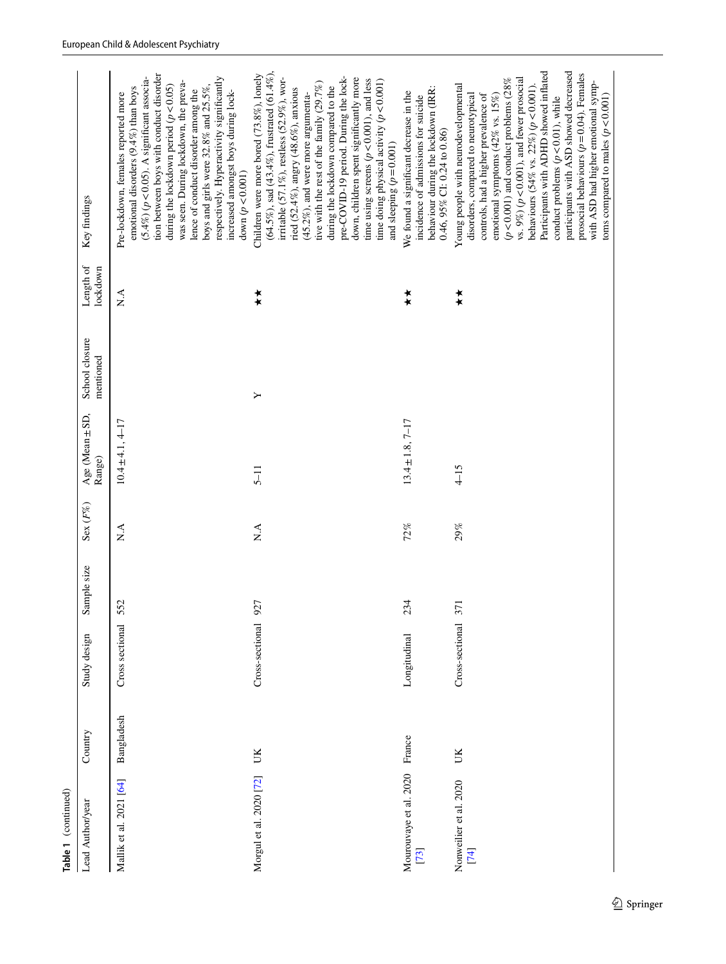| Lead Author/year                      | Country    | Study design    | Sample size | Sex $(F\%)$ | Age (Mean ± SD,<br>Range) | School closure<br>mentioned | Length of<br>lockdown | Key findings                                                                                                                                                                                                                                                                                                                                                                                                                                                                                                                                                   |
|---------------------------------------|------------|-----------------|-------------|-------------|---------------------------|-----------------------------|-----------------------|----------------------------------------------------------------------------------------------------------------------------------------------------------------------------------------------------------------------------------------------------------------------------------------------------------------------------------------------------------------------------------------------------------------------------------------------------------------------------------------------------------------------------------------------------------------|
| Mallik et al. 2021 [64]               | Bangladesh | Cross sectional | 552         | A.A         | $10.4 \pm 4.1, 4 - 17$    |                             | $\vec{X}$             | tion between boys with conduct disorder<br>$(5.4\%) (p < 0.05)$ . A significant associa-<br>respectively. Hyperactivity significantly<br>was seen. During lockdown, the preva-<br>boys and girls were $32.8\%$ and $25.5\%$ ,<br>during the lockdown period $(p < 0.05)$<br>emotional disorders $(9.4\%)$ than boys<br>lence of conduct disorder among the<br>increased amongst boys during lock-<br>Pre-lockdown, females reported more<br>down $(p < 0.001)$                                                                                                 |
| Morgul et al. 2020 [72]               | UK         | Cross-sectional | 927         | ΛÁ          | $5 - 11$                  | ≻                           |                       | (64.5%), sad (43.4%), frustrated (61.4%),<br>Children were more bored $(73.8\%)$ , lonely<br>pre-COVID-19 period. During the lock-<br>irritable (57.1%), restless (52.9%), wor-<br>down, children spent significantly more<br>time using screens $(p < 0.001)$ , and less<br>time doing physical activity ( $p < 0.001$ )<br>tive with the rest of the family $(29.7\%)$<br>during the lockdown compared to the<br>ried (52.4%), angry (48.6%), anxious<br>$(45.2\%)$ , and were more argumenta-<br>and sleeping $(p=0.001)$                                   |
| Mourouvaye et al. 2020 France<br>[73] |            | Longitudinal    | 234         | 72%         | $13.4 \pm 1.8, 7 - 17$    |                             |                       | behaviour during the lockdown (IRR:<br>We found a significant decrease in the<br>incidence of admissions for suicide<br>$0.46,95\%$ CI: $0.24$ to $0.86$ )                                                                                                                                                                                                                                                                                                                                                                                                     |
| Nonweilier et al. 2020<br>$[74]$      | UK         | Cross-sectional | 371         | 29%         | $4 - 15$                  |                             | **                    | Participants with ADHD showed inflated<br>participants with ASD showed decreased<br>prosocial behaviours $(p = 0.04)$ . Females<br>$(p<0.001)$ and conduct problems (28%<br>vs. $9\%$ ) ( $p < 0.001$ ), and fewer prosocial<br>with ASD had higher emotional symp-<br>Young people with neurodevelopmental<br>behaviours (54% vs. 22%) ( $p < 0.001$ )<br>disorders, compared to neurotypical<br>controls, had a higher prevalence of<br>toms compared to males ( $p < 0.001$ )<br>emotional symptoms (42% vs. 15%)<br>conduct problems ( $p < 0.01$ ), while |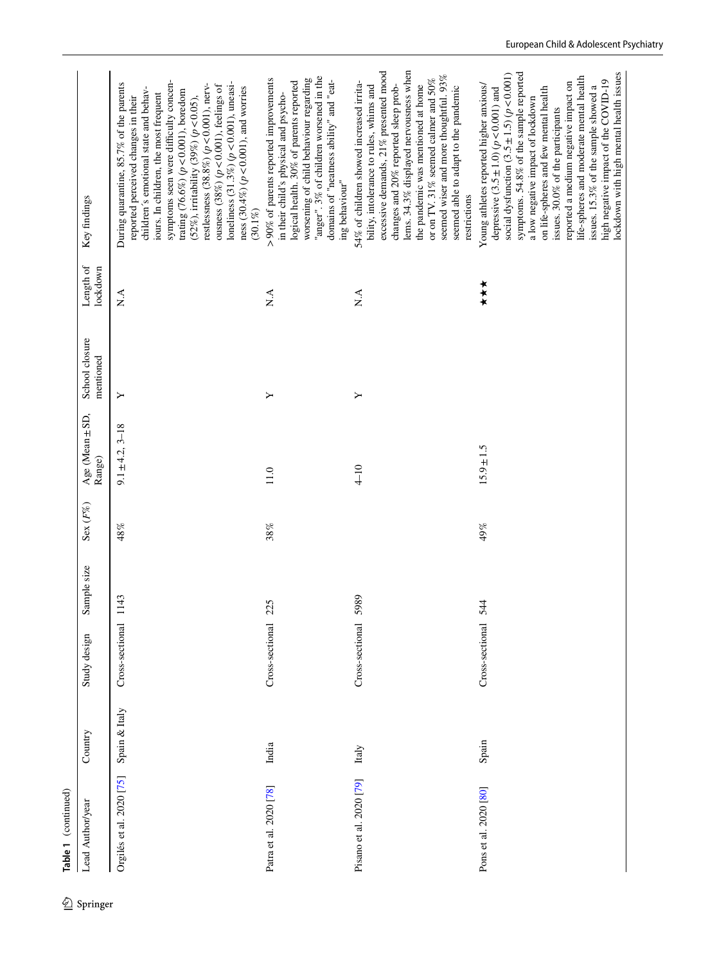| Lead Author/year         | Country       | Study design    | Sample size | Sex $(F\%)$ | Age (Mean ± SD,<br>Range) | School closure<br>mentioned | Length of<br>lockdown   | Key findings                                                                                                                                                                                                                                                                                                                                                                                                                                                                                                           |
|--------------------------|---------------|-----------------|-------------|-------------|---------------------------|-----------------------------|-------------------------|------------------------------------------------------------------------------------------------------------------------------------------------------------------------------------------------------------------------------------------------------------------------------------------------------------------------------------------------------------------------------------------------------------------------------------------------------------------------------------------------------------------------|
| Orgilés et al. 2020 [75] | Spain & Italy | Cross-sectional | 1143        | 48%         | $9.1 \pm 4.2, 3 - 18$     | ≻                           | $\mathbf{N}.\mathbf{A}$ | symptoms seen were difficulty concen-<br>During quarantine, 85.7% of the parents<br>loneliness (31.3%) ( $p$ < 0.001), uneasi-<br>restlessness (38.8%) $(p < 0.001)$ , nerv-<br>ousness $(38\%) (p < 0.001)$ , feelings of<br>ness (30.4%) ( $p < 0.001$ ), and worries<br>children's emotional state and behav-<br>trating $(76.6\%) (p < 0.001)$ , boredom<br>iours. In children, the most frequent<br>reported perceived changes in their<br>(52%), irritability (39%) ( $p < 0.05$ ),<br>$(30.1\%)$                |
| Patra et al. 2020 [78]   | India         | Cross-sectional | 225         | 38%         | 11.0                      | ≻                           | $\sum_{i=1}^{n}$        | "anger". 3% of children worsened in the<br>worsening of child behaviour regarding<br>$>90\%$ of parents reported improvements<br>domains of "neatness ability" and "eat-<br>logical health. 30% of parents reported<br>in their child's physical and psycho-<br>ing behaviour"                                                                                                                                                                                                                                         |
| Pisano et al. 2020 [79]  | Italy         | Cross-sectional | 5989        |             | $4 - 10$                  | ≻                           | A.A                     | lems. 34.3% displayed nervousness when<br>excessive demands, 21% presented mood<br>seemed wiser and more thoughtful. 93%<br>or on TV. 31% seemed calmer and 50%<br>54% of children showed increased irrita-<br>changes and 20% reported sleep prob-<br>bility, intolerance to rules, whims and<br>the pandemic was mentioned at home<br>seemed able to adapt to the pandemic<br>restrictions                                                                                                                           |
| Pons et al. 2020 [80]    | Spain         | Cross-sectional | 544         | 49%         | $15.9 \pm 1.5$            |                             |                         | social dysfunction $(3.5 \pm 1.5)$ ( $p < 0.001$ )<br>symptoms. 54.8% of the sample reported<br>lockdown with high mental health issues<br>life-spheres and moderate mental health<br>high negative impact of the COVID-19<br>reported a medium negative impact on<br>Young athletes reported higher anxious/<br>issues. 15.3% of the sample showed a<br>on life-spheres and few mental health<br>depressive $(3.5 \pm 1.0) (p < 0.001)$ and<br>a low negative impact of lockdown<br>issues. 30.0% of the participants |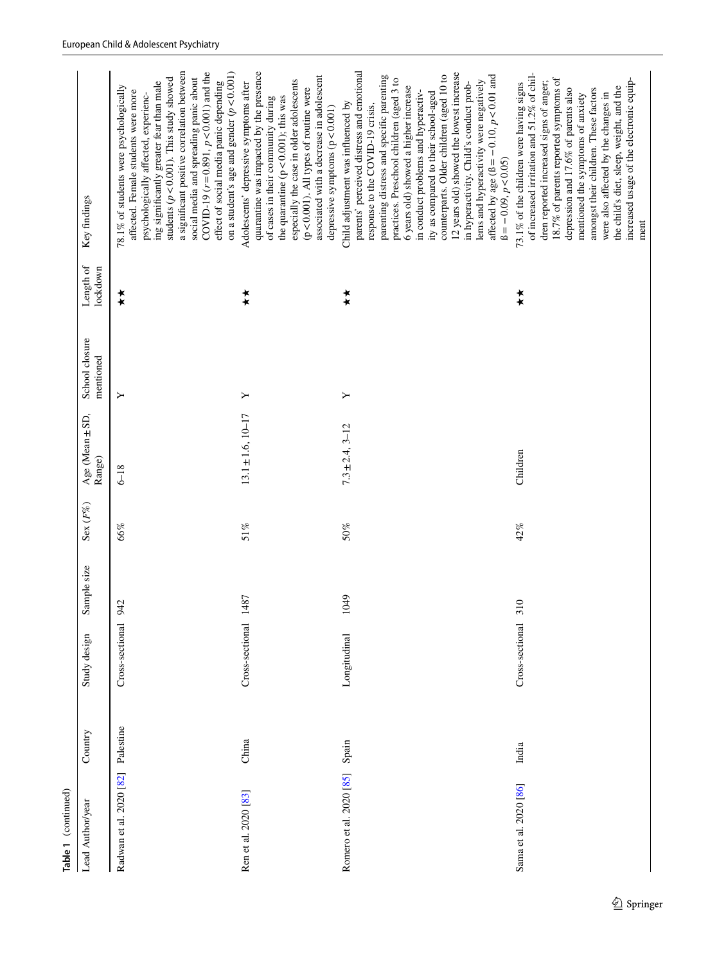| Table 1 (continued)     |           |                 |             |             |                           |                             |                       |                                                                                                                                                                                                                                                                                                                                                                                                                                                                                                                                                                                                  |
|-------------------------|-----------|-----------------|-------------|-------------|---------------------------|-----------------------------|-----------------------|--------------------------------------------------------------------------------------------------------------------------------------------------------------------------------------------------------------------------------------------------------------------------------------------------------------------------------------------------------------------------------------------------------------------------------------------------------------------------------------------------------------------------------------------------------------------------------------------------|
| Lead Author/year        | Country   | Study design    | Sample size | Sex $(F\%)$ | Age (Mean ± SD,<br>Range) | School closure<br>mentioned | Length of<br>lockdown | Key findings                                                                                                                                                                                                                                                                                                                                                                                                                                                                                                                                                                                     |
| Radwan et al. 2020 [82] | Palestine | Cross-sectional | 942         | 66%         | $6 - 18$                  | Y                           | ★★                    | COVID-19 ( $r = 0.891$ , $p < 0.001$ ) and the<br>a significant positive correlation between<br>on a student's age and gender $(p < 0.001)$<br>social media and spreading panic about<br>students ( $p < 0.001$ ). This study showed<br>effect of social media panic depending<br>ing significantly greater fear than male<br>78.1% of students were psychologically<br>affected. Female students were more<br>psychologically affected, experienc-                                                                                                                                              |
| Ren et al. 2020 [83]    | China     | Cross-sectional | 1487        | 51%         | $13.1 \pm 1.6$ , $10-17$  | ≻                           |                       | quarantine was impacted by the presence<br>associated with a decrease in adolescent<br>especially the case in older adolescents<br>Adolescents' depressive symptoms after<br>$(p<0.001)$ . All types of routine were<br>the quarantine ( $p < 0.001$ ); this was<br>of cases in their community during<br>depressive symptoms (p<0.001)                                                                                                                                                                                                                                                          |
| Romero et al. 2020 [85] | Spain     | Longitudinal    | 1049        | 50%         | $7.3 \pm 2.4, 3 - 12$     | ≻                           |                       | parents' perceived distress and emotional<br>12 years old) showed the lowest increase<br>counterparts. Older children (aged 10 to<br>parenting distress and specific parenting<br>affected by age ( $\beta = -0.10$ , $p < 0.01$ and<br>practices. Preschool children (aged 3 to<br>lems and hyperactivity were negatively<br>in hyperactivity. Child's conduct prob-<br>6 years old) showed a higher increase<br>in conduct problems and hyperactiv-<br>ity as compared to their school-aged<br>Child adjustment was influenced by<br>response to the COVID-19 crisis,<br>$B = -0.09, p < 0.05$ |
| Sama et al. 2020 [86]   | India     | Cross-sectional | 310         | 42%         | Children                  |                             |                       | of increased irritation and 51.2% of chil-<br>18.7% of parents reported symptoms of<br>increased usage of the electronic equip-<br>dren reported increased signs of anger;<br>73.1% of the children were having signs<br>the child's diet, sleep, weight, and the<br>depression and 17.6% of parents also<br>amongst their children. These factors<br>were also affected by the changes in<br>mentioned the symptoms of anxiety<br>ment                                                                                                                                                          |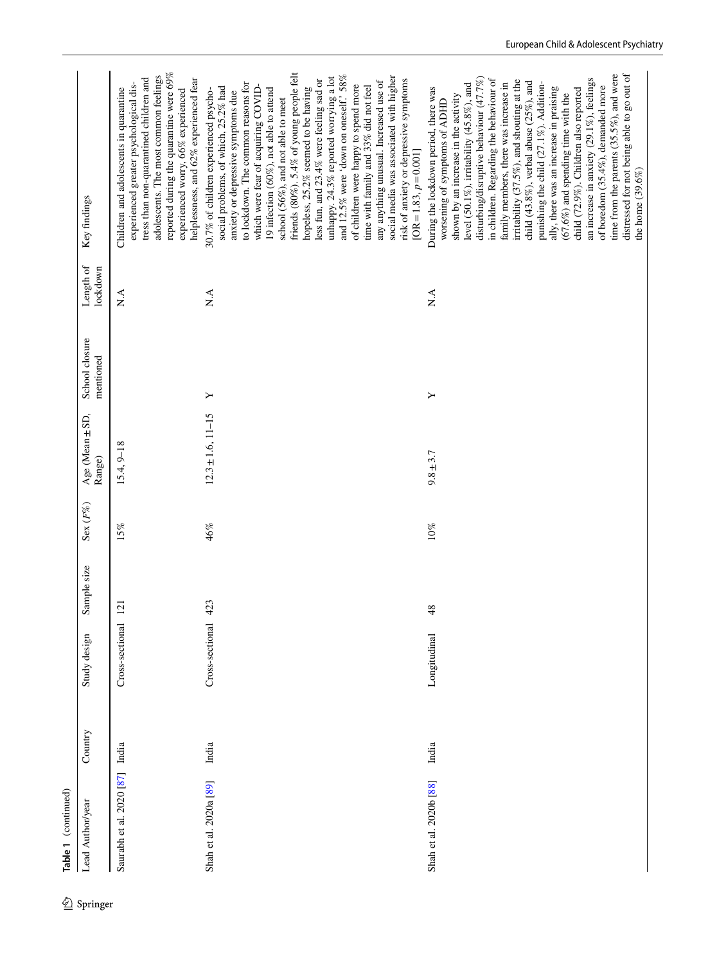| Table 1 (continued)<br>Lead Author/year | Country | Study design    | Sample size    | $Sex$ $(F\%)$ | Age (Mean ± SD,<br>Range) | School closure<br>mentioned | Length of<br>lockdown | Key findings                                                                                                                                                                                                                                                                                                                                                                                                                                                                                                                                                                                                                                                                                                                                                                                         |
|-----------------------------------------|---------|-----------------|----------------|---------------|---------------------------|-----------------------------|-----------------------|------------------------------------------------------------------------------------------------------------------------------------------------------------------------------------------------------------------------------------------------------------------------------------------------------------------------------------------------------------------------------------------------------------------------------------------------------------------------------------------------------------------------------------------------------------------------------------------------------------------------------------------------------------------------------------------------------------------------------------------------------------------------------------------------------|
| Saurabh et al. 2020 [87]                | India   | Cross-sectional | $\overline{5}$ | 15%           | $15.4, 9 - 18$            |                             | A.A                   | reported during the quarantine were $69\%$<br>adolescents. The most common feelings<br>tress than non-quarantined children and<br>helplessness, and 62% experienced fear<br>experienced greater psychological dis-<br>Children and adolescents in quarantine<br>experienced worry, 66% experienced                                                                                                                                                                                                                                                                                                                                                                                                                                                                                                   |
| Shah et al. 2020a [89]                  | India   | Cross-sectional | 423            | 46%           | $12.3 \pm 1.6$ , $11-15$  | ≻                           | ∧`N                   | friends (80%). 5.4% of young people felt<br>and 12.5% were 'down on oneself.' 58%<br>social media was associated with higher<br>unhappy. 24.3% reported worrying a lot<br>risk of anxiety or depressive symptoms<br>less fun, and 23.4% were feeling sad or<br>any anything unusual. Increased use of<br>to lockdown. The common reasons for<br>of children were happy to spend more<br>which were fear of acquiring COVID-<br>time with family and 33% did not feel<br>social problems, of which, 25.2% had<br>hopeless, 25.2% seemed to be having<br>19 infection (60%), not able to attend<br>30.7% of children experienced psycho-<br>anxiety or depressive symptoms due<br>school (56%), and not able to meet                                                                                   |
| Shah et al. 2020b [88]                  | India   | Longitudinal    | 48             | $10\%$        | $9.8 \pm 3.7$             | Υ                           | ΛÁ                    | distressed for not being able to go out of<br>time from the parents $(35.5\%)$ , and were<br>disturbing/disruptive behaviour (47.7%)<br>in children. Regarding the behaviour of<br>an increase in anxiety (29.1%), feelings<br>irritability (37.5%), and shouting at the<br>child $(43.8\%)$ , verbal abuse $(25\%)$ , and<br>family members, there was increase in<br>punishing the child (27.1%). Addition-<br>level (50.1%), irritability $(45.8\%)$ , and<br>of boredom (35.4%), demanded more<br>ally, there was an increase in praising<br>child (72.9%). Children also reported<br>During the lockdown period, there was<br>$(67.6\%)$ and spending time with the<br>shown by an increase in the activity<br>worsening of symptoms of ADHD<br>$[OR = 1.83, p = 0.001]$<br>the home $(39.6\%)$ |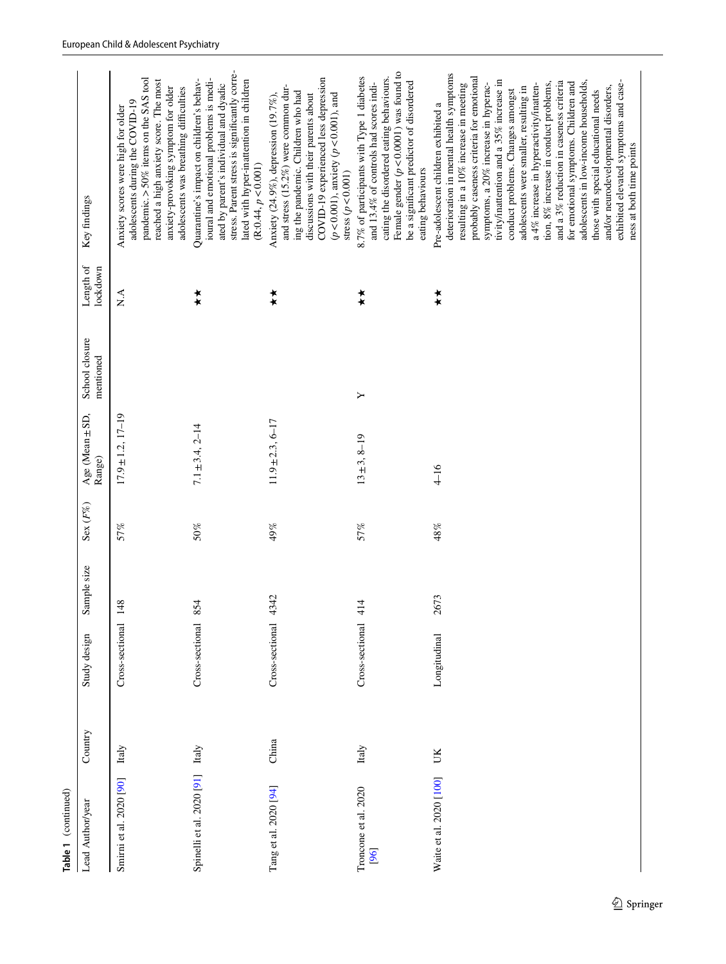| Lead Author/year             | Country | Study design    | Sample size | Sex $(F\%)$ | Age (Mean ± SD,<br>Range) | School closure<br>mentioned | Length of<br>lockdown | Key findings                                                                                                                                                                                                                                                                                                                                                                                                                                                                                                                                                                                                                                                                                                  |
|------------------------------|---------|-----------------|-------------|-------------|---------------------------|-----------------------------|-----------------------|---------------------------------------------------------------------------------------------------------------------------------------------------------------------------------------------------------------------------------------------------------------------------------------------------------------------------------------------------------------------------------------------------------------------------------------------------------------------------------------------------------------------------------------------------------------------------------------------------------------------------------------------------------------------------------------------------------------|
| Smirni et al. 2020 [90]      | Italy   | Cross-sectional | 148         | 57%         | $17.9 \pm 1.2, 17 - 19$   |                             | ∡<br>Z                | pandemic. > 50% items on the SAS tool<br>reached a high anxiety score. The most<br>anxiety-provoking symptom for older<br>adolescents was breathing difficulties<br>adolescents during the COVID-19<br>Anxiety scores were high for older                                                                                                                                                                                                                                                                                                                                                                                                                                                                     |
| Spinelli et al. 2020 [91]    | Italy   | Cross-sectional | 854         | $50\%$      | $7.1 \pm 3.4, 2 - 14$     |                             |                       | stress. Parent stress is significantly corre-<br>ioural and emotional problems is medi-<br>Quarantine's impact on children's behav-<br>lated with hyper-inattention in children<br>ated by parent's individual and dyadic<br>(R:0.44, p<0.001)                                                                                                                                                                                                                                                                                                                                                                                                                                                                |
| Tang et al. 2020 [94]        | China   | Cross-sectional | 4342        | 49%         | $11.9 \pm 2.3, 6 - 17$    |                             |                       | COVID-19 experienced less depression<br>and stress (15.2%) were common dur-<br>ing the pandemic. Children who had<br>$(p < 0.001)$ , anxiety $(p < 0.001)$ , and<br>Anxiety (24.9%), depression (19.7%),<br>discussions with their parents about<br>stress $(p < 0.001)$                                                                                                                                                                                                                                                                                                                                                                                                                                      |
| Troncone et al. 2020<br>[96] | Italy   | Cross-sectional | 414         | $57\%$      | $13 \pm 3, 8 - 19$        | ≻                           | *<br>*                | Female gender ( $p < 0.0001$ ) was found to<br>8.7% of participants with Type 1 diabetes<br>cating the disordered eating behaviours.<br>be a significant predictor of disordered<br>and 13.4% of controls had scores indi-<br>eating behaviours                                                                                                                                                                                                                                                                                                                                                                                                                                                               |
| Waite et al. 2020 [100]      | UК      | Longitudinal    | 2673        | 48%         | $4 - 16$                  |                             | ∗                     | deterioration in mental health symptoms<br>probably caseness criteria for emotional<br>tivity/inattention and a 35% increase in<br>and a 3% reduction in caseness criteria<br>adolescents in low-income households,<br>exhibited elevated symptoms and case-<br>tion, 8% increase in conduct problems,<br>for emotional symptoms. Children and<br>symptoms, a 20% increase in hyperac-<br>resulting in a 10% increase in meeting<br>a 4% increase in hyperactivity/inatten-<br>adolescents were smaller, resulting in<br>and/or neurodevelopmental disorders,<br>conduct problems. Changes amongst<br>those with special educational needs<br>Pre-adolescent children exhibited a<br>ness at both time points |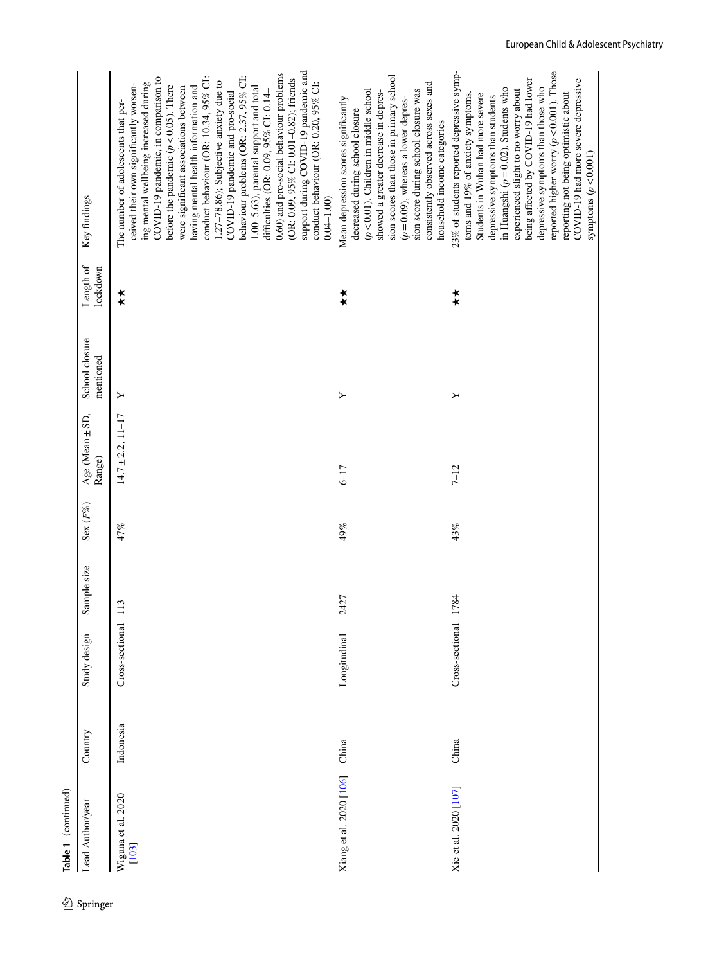|                    | Table 1 (continued)         |           |                 |             |             |                            |                             |                       |                                                                                                                                                                                                                                                                                                                                                                                                                                                                                                                                                                                                                                                                                                                                      |
|--------------------|-----------------------------|-----------|-----------------|-------------|-------------|----------------------------|-----------------------------|-----------------------|--------------------------------------------------------------------------------------------------------------------------------------------------------------------------------------------------------------------------------------------------------------------------------------------------------------------------------------------------------------------------------------------------------------------------------------------------------------------------------------------------------------------------------------------------------------------------------------------------------------------------------------------------------------------------------------------------------------------------------------|
| $\hat{Z}$ Springer | Lead Author/year            | Country   | Study design    | Sample size | Sex $(F\%)$ | Age (Mean ± SD,<br>Range)  | School closure<br>mentioned | Length of<br>lockdown | Key findings                                                                                                                                                                                                                                                                                                                                                                                                                                                                                                                                                                                                                                                                                                                         |
|                    | Wiguna et al. 2020<br>[103] | Indonesia | Cross-sectional | 113         | 47%         | $14.7 \pm 2.2$ , $11 - 17$ | ≻                           | ★★                    | support during COVID-19 pandemic and<br>0.60) and pro-social behaviour problems<br>behaviour problems (OR: 2.37, 95% CI:<br>conduct behaviour (OR: 10.34, 95% CI:<br>COVID-19 pandemic, in comparison to<br>(OR: 0.09, 95% CI: 0.01-0.82); friends<br>1.27-78.86); Subjective anxiety due to<br>conduct behaviour (OR: 0.20, 95% CI:<br>ing mental wellbeing increased during<br>ceived their own significantly worsen-<br>before the pandemic ( $p < 0.05$ ). There<br>were significant associations between<br>having mental health information and<br>1.00-5.63), parental support and total<br>difficulties (OR: 0.09, 95% CI: 0.14-<br>COVID-19 pandemic and pro-social<br>The number of adolescents that per-<br>$0.04 - 1.00$ |
|                    | Xiang et al. 2020 [106]     | China     | Longitudinal    | 2427        | 49%         | $6 - 17$                   | ≻                           | ∗∗                    | sion scores than those in primary school<br>consistently observed across sexes and<br>$(p<0.01)$ . Children in middle school<br>sion score during school closure was<br>showed a greater decrease in depres-<br>$(p=0.09)$ , whereas a lower depres-<br>Mean depression scores significantly<br>decreased during school closure<br>household income categories                                                                                                                                                                                                                                                                                                                                                                       |
|                    | Xie et al. 2020 [107]       | China     | Cross-sectional | 1784        | 43%         | $7 - 12$                   | ≻                           |                       | reported higher worry ( $p < 0.001$ ). Those<br>23% of students reported depressive symp-<br>being affected by COVID-19 had lower<br>COVID-19 had more severe depressive<br>depressive symptoms than those who<br>in Huangshi ( $p = 0.02$ ). Students who<br>experienced slight to no worry about<br>reporting not being optimistic about<br>toms and 19% of anxiety symptoms.<br>Students in Wuhan had more severe<br>depressive symptoms than students<br>symptoms $(p < 0.001)$                                                                                                                                                                                                                                                  |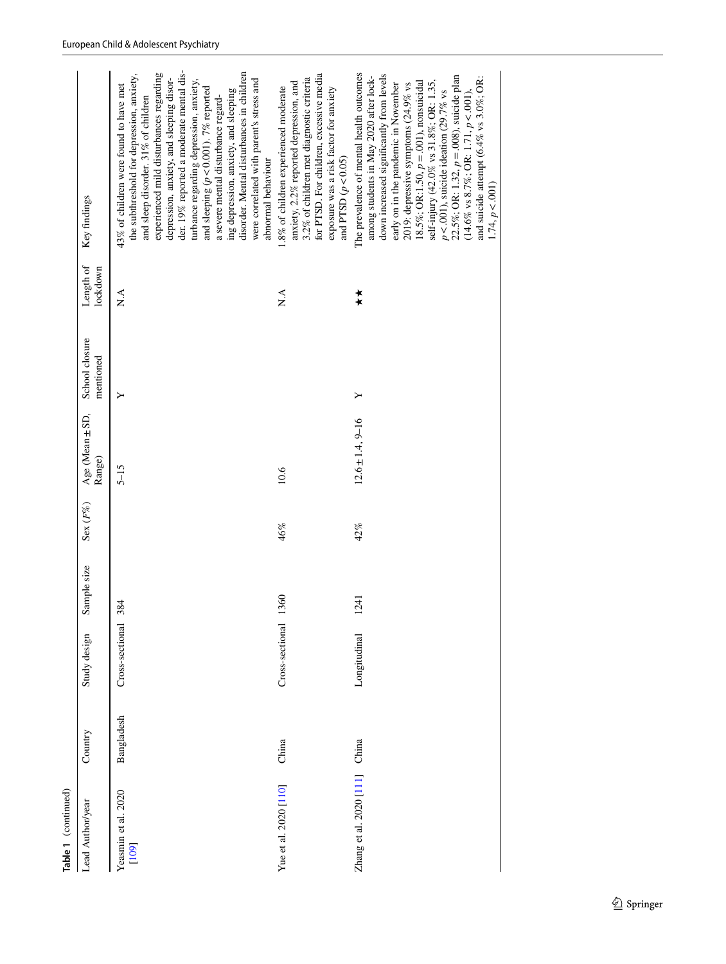| Lead Author/year               | Country    | Study design    | Sample size | Sex $(F\%)$ | Age (Mean ± SD,<br>Range) | School closure<br>mentioned | Length of<br>lockdown | Key findings                                                                                                                                                                                                                                                                                                                                                                                                                                                                                                                                         |
|--------------------------------|------------|-----------------|-------------|-------------|---------------------------|-----------------------------|-----------------------|------------------------------------------------------------------------------------------------------------------------------------------------------------------------------------------------------------------------------------------------------------------------------------------------------------------------------------------------------------------------------------------------------------------------------------------------------------------------------------------------------------------------------------------------------|
| Yeasmin et al. 2020<br>$[109]$ | Bangladesh | Cross-sectional | 384         |             | $5 - 15$                  |                             | $\tilde{\mathbf{X}}$  | der. 19% reported a moderate mental dis-<br>disorder. Mental disturbances in children<br>experienced mild disturbances regarding<br>the subthreshold for depression, anxiety,<br>depression, anxiety, and sleeping disor-<br>turbance regarding depression, anxiety,<br>were correlated with parent's stress and<br>43% of children were found to have met<br>and sleeping ( $p < 0.001$ ). 7% reported<br>ing depression, anxiety, and sleeping<br>a severe mental disturbance regard-<br>and sleep disorder. 31% of children<br>abnormal behaviour |
| Yue et al. 2020 [110]          | China      | Cross-sectional | 1360        | 46%         | 10.6                      |                             | A.A                   | for PTSD. For children, excessive media<br>3.2% of children met diagnostic criteria<br>anxiety, 2.2% reported depression, and<br>1.8% of children experienced moderate<br>exposure was a risk factor for anxiety<br>and PTSD $(p<0.05)$                                                                                                                                                                                                                                                                                                              |
| Zhang et al. 2020 [111] China  |            | Longitudinal    | 1241        | 42%         | $12.6 \pm 1.4, 9 - 16$    | ≻                           |                       | The prevalence of mental health outcomes<br>down increased significantly from levels<br>22.5%; OR: 1.32, $p = .008$ ), suicide plan<br>and suicide attempt (6.4% vs 3.0%; OR:<br>among students in May 2020 after lock-<br>18.5%; OR:1.50, $p = .001$ ), nonsuicidal<br>self-injury (42.0% vs 31.8%; OR: 1.35,<br>early on in the pandemic in November<br>2019: depressive symptoms (24.9% vs<br>$(14.6\% \text{ vs } 8.7\%; \text{ OR: } 1.71, p < .001),$<br>$p < .001$ ), suicide ideation (29.7% vs<br>1.74, p < .001                            |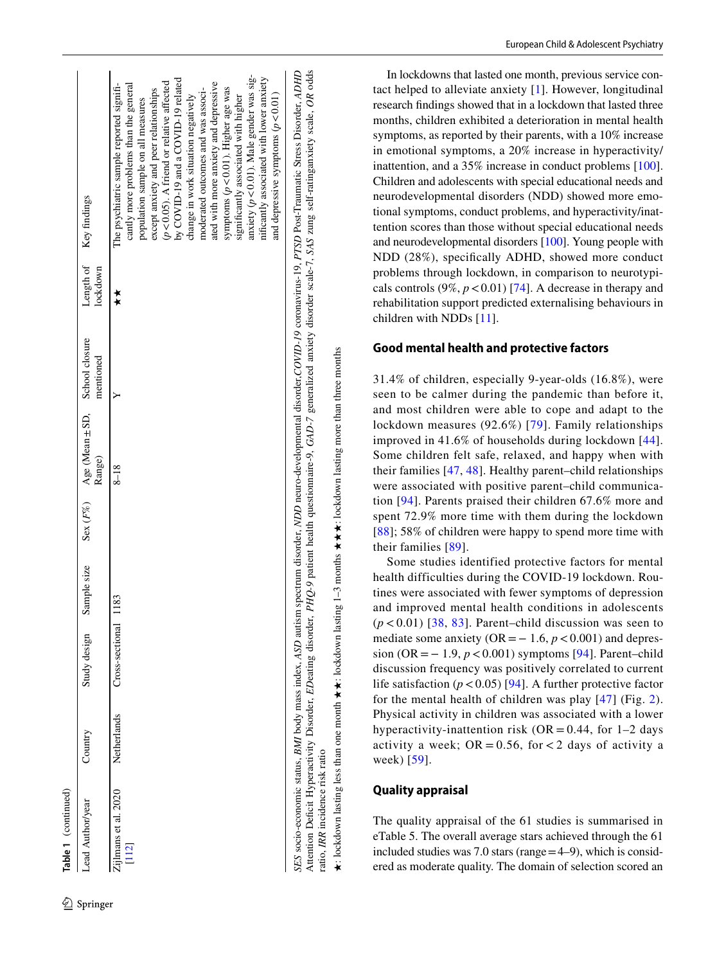|                     | Length of Key findings                   | anxiety ( $p < 0.01$ ). Male gender was sig-<br>nificantly associated with lower anxiety<br>by COVID-19 and a COVID-19 related<br>$(p<0.05)$ . A friend or relative affected<br>ated with more anxiety and depressive<br>The psychiatric sample reported signifi-<br>cantly more problems than the general<br>symptoms $(p < 0.01)$ . Higher age was<br>except anxiety and peer relationships<br>moderated outcomes and was associ-<br>and depressive symptoms $(p < 0.01)$<br>change in work situation negatively<br>significantly associated with higher<br>population sample on all measures |
|---------------------|------------------------------------------|-------------------------------------------------------------------------------------------------------------------------------------------------------------------------------------------------------------------------------------------------------------------------------------------------------------------------------------------------------------------------------------------------------------------------------------------------------------------------------------------------------------------------------------------------------------------------------------------------|
|                     | lockdown                                 | ★★                                                                                                                                                                                                                                                                                                                                                                                                                                                                                                                                                                                              |
|                     | mentioned                                |                                                                                                                                                                                                                                                                                                                                                                                                                                                                                                                                                                                                 |
|                     | Age (Mean ± SD, School closure<br>Range) | $8 - 18$                                                                                                                                                                                                                                                                                                                                                                                                                                                                                                                                                                                        |
|                     | Sex $(F\%)$                              |                                                                                                                                                                                                                                                                                                                                                                                                                                                                                                                                                                                                 |
|                     | Sample size                              | 1183                                                                                                                                                                                                                                                                                                                                                                                                                                                                                                                                                                                            |
|                     | Study design                             | Cross-sectional                                                                                                                                                                                                                                                                                                                                                                                                                                                                                                                                                                                 |
|                     | Country                                  | Netherlands                                                                                                                                                                                                                                                                                                                                                                                                                                                                                                                                                                                     |
| Table 1 (continued) | Lead Author/year                         | $Z$ ij $l$ mans et al. 2020<br>$[112]$                                                                                                                                                                                                                                                                                                                                                                                                                                                                                                                                                          |

<sup>2</sup> Springer

SES socio-economic status, BMI body mass index, ASD autism spectrum disorder, NDD neuro-developmental disorder, COVID-19 coronavirus-19, PTSD Post-Traumatic Stress Disorder, ADHD Attention Defcit Hyperactivity Disorder, *ED*eating disorder, *PHQ-9* patient health questionnaire-9, *GAD-7* generalized anxiety disorder scale-7, *SAS* zung self-ratinganxiety scale, *OR* odds

Attention Deficit Hyperactivity Disorder, EDeating disorder, PHQ-9 patient health questionnaire-9, GAD-7 generalized anxiety disorder scale-7, SAS zung self-ratinganxiety scale, OR odds SES socio-economic status. BMI body mass index, ASD autism spectrum disorder, NDD neuro-developmental disorder, COVID-19 coronavirus-19, PTSD Post-Traumatic Stress Disorder, ADHD

ratio, *IRR* incidence risk ratio

ratio, IRR incidence risk ratio

★: lockdown lasting less than one month ★★: lockdown lasting 1–3 months ★★★: lockdown lasting more than three months

★: lockdown lasting less than one month ★★: lockdown lasting 1–3 months ★★★: lockdown lasting more than three months

In lockdowns that lasted one month, previous service contact helped to alleviate anxiety [1]. However, longitudinal research fndings showed that in a lockdown that lasted three months, children exhibited a deterioration in mental health symptoms, as reported by their parents, with a 10% increase in emotional symptoms, a 20% increase in hyperactivity/ inattention, and a 35% increase in conduct problems [100]. Children and adolescents with special educational needs and neurodevelopmental disorders (NDD) showed more emotional symptoms, conduct problems, and hyperactivity/inattention scores than those without special educational needs and neurodevelopmental disorders [100]. Young people with NDD (28%), specifcally ADHD, showed more conduct problems through lockdown, in comparison to neurotypicals controls  $(9\%, p < 0.01)$  [74]. A decrease in therapy and rehabilitation support predicted externalising behaviours in children with NDDs [11].

#### **Good mental health and protective factors**

31.4% of children, especially 9-year-olds (16.8%), were seen to be calmer during the pandemic than before it, and most children were able to cope and adapt to the lockdown measures (92.6%) [79]. Family relationships improved in 41.6% of households during lockdown [44]. Some children felt safe, relaxed, and happy when with their families [47, 48]. Healthy parent–child relationships were associated with positive parent–child communication [94]. Parents praised their children 67.6% more and spent 72.9% more time with them during the lockdown [88]; 58% of children were happy to spend more time with their families [89].

Some studies identified protective factors for mental health difficulties during the COVID-19 lockdown. Routines were associated with fewer symptoms of depression and improved mental health conditions in adolescents  $(p<0.01)$  [38, 83]. Parent–child discussion was seen to mediate some anxiety ( $OR = -1.6$ ,  $p < 0.001$ ) and depression (OR = − 1.9, *p* < 0.001) symptoms [94]. Parent–child discussion frequency was positively correlated to current life satisfaction  $(p < 0.05)$  [94]. A further protective factor for the mental health of children was play [47] (Fig. 2). Physical activity in children was associated with a lower hyperactivity-inattention risk ( $OR = 0.44$ , for 1–2 days activity a week;  $OR = 0.56$ , for < 2 days of activity a week) [59].

## **Quality appraisal**

The quality appraisal of the 61 studies is summarised in eTable 5. The overall average stars achieved through the 61 included studies was 7.0 stars (range  $=4-9$ ), which is considered as moderate quality. The domain of selection scored an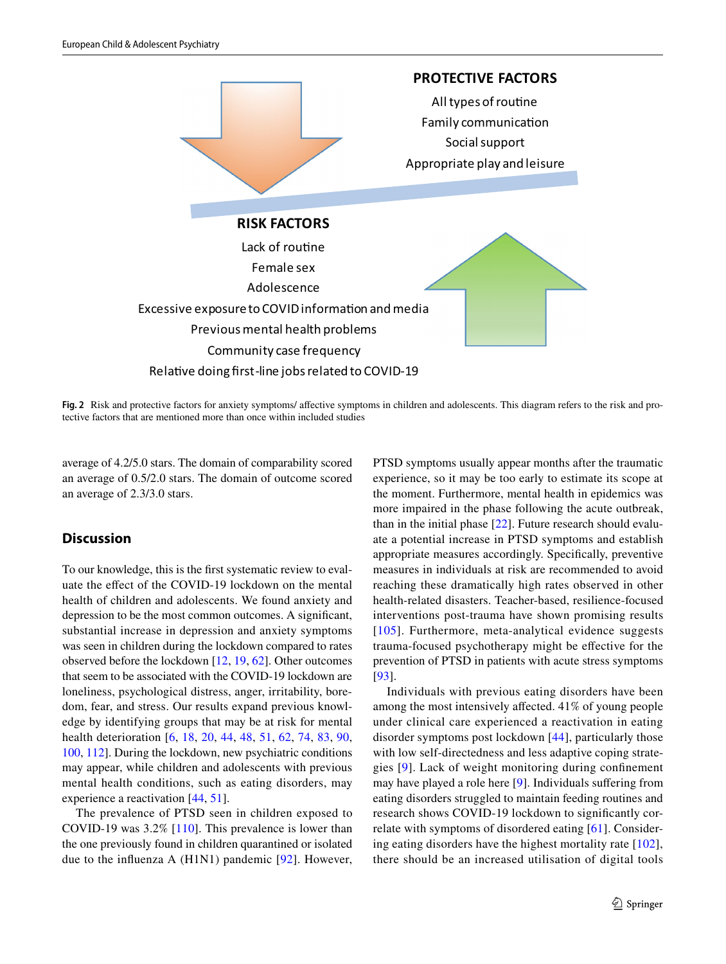

**Fig. 2** Risk and protective factors for anxiety symptoms/ afective symptoms in children and adolescents. This diagram refers to the risk and protective factors that are mentioned more than once within included studies

average of 4.2/5.0 stars. The domain of comparability scored an average of 0.5/2.0 stars. The domain of outcome scored an average of 2.3/3.0 stars.

## **Discussion**

To our knowledge, this is the frst systematic review to evaluate the efect of the COVID-19 lockdown on the mental health of children and adolescents. We found anxiety and depression to be the most common outcomes. A signifcant, substantial increase in depression and anxiety symptoms was seen in children during the lockdown compared to rates observed before the lockdown [12, 19, 62]. Other outcomes that seem to be associated with the COVID-19 lockdown are loneliness, psychological distress, anger, irritability, boredom, fear, and stress. Our results expand previous knowledge by identifying groups that may be at risk for mental health deterioration [6, 18, 20, 44, 48, 51, 62, 74, 83, 90, 100, 112]. During the lockdown, new psychiatric conditions may appear, while children and adolescents with previous mental health conditions, such as eating disorders, may experience a reactivation [44, 51].

The prevalence of PTSD seen in children exposed to COVID-19 was 3.2% [110]. This prevalence is lower than the one previously found in children quarantined or isolated due to the infuenza A (H1N1) pandemic [92]. However, PTSD symptoms usually appear months after the traumatic experience, so it may be too early to estimate its scope at the moment. Furthermore, mental health in epidemics was more impaired in the phase following the acute outbreak, than in the initial phase [22]. Future research should evaluate a potential increase in PTSD symptoms and establish appropriate measures accordingly. Specifcally, preventive measures in individuals at risk are recommended to avoid reaching these dramatically high rates observed in other health-related disasters. Teacher-based, resilience-focused interventions post-trauma have shown promising results [105]. Furthermore, meta-analytical evidence suggests trauma-focused psychotherapy might be efective for the prevention of PTSD in patients with acute stress symptoms [93].

Individuals with previous eating disorders have been among the most intensively afected. 41% of young people under clinical care experienced a reactivation in eating disorder symptoms post lockdown [44], particularly those with low self-directedness and less adaptive coping strategies [9]. Lack of weight monitoring during confnement may have played a role here [9]. Individuals sufering from eating disorders struggled to maintain feeding routines and research shows COVID-19 lockdown to signifcantly correlate with symptoms of disordered eating [61]. Considering eating disorders have the highest mortality rate [102], there should be an increased utilisation of digital tools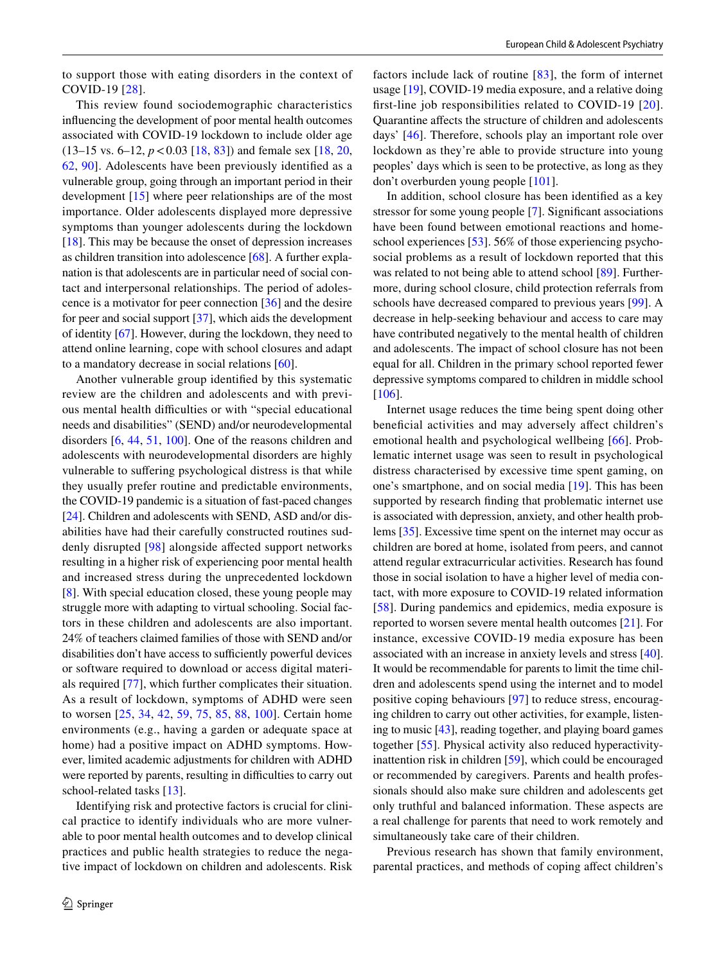to support those with eating disorders in the context of COVID-19 [28].

This review found sociodemographic characteristics infuencing the development of poor mental health outcomes associated with COVID-19 lockdown to include older age (13–15 vs. 6–12, *p*<0.03 [18, 83]) and female sex [18, 20, 62, 90]. Adolescents have been previously identifed as a vulnerable group, going through an important period in their development [15] where peer relationships are of the most importance. Older adolescents displayed more depressive symptoms than younger adolescents during the lockdown [18]. This may be because the onset of depression increases as children transition into adolescence [68]. A further explanation is that adolescents are in particular need of social contact and interpersonal relationships. The period of adolescence is a motivator for peer connection [36] and the desire for peer and social support [37], which aids the development of identity [67]. However, during the lockdown, they need to attend online learning, cope with school closures and adapt to a mandatory decrease in social relations [60].

Another vulnerable group identifed by this systematic review are the children and adolescents and with previous mental health difficulties or with "special educational needs and disabilities" (SEND) and/or neurodevelopmental disorders [6, 44, 51, 100]. One of the reasons children and adolescents with neurodevelopmental disorders are highly vulnerable to sufering psychological distress is that while they usually prefer routine and predictable environments, the COVID-19 pandemic is a situation of fast-paced changes [24]. Children and adolescents with SEND, ASD and/or disabilities have had their carefully constructed routines suddenly disrupted [98] alongside afected support networks resulting in a higher risk of experiencing poor mental health and increased stress during the unprecedented lockdown [8]. With special education closed, these young people may struggle more with adapting to virtual schooling. Social factors in these children and adolescents are also important. 24% of teachers claimed families of those with SEND and/or disabilities don't have access to sufficiently powerful devices or software required to download or access digital materials required [77], which further complicates their situation. As a result of lockdown, symptoms of ADHD were seen to worsen [25, 34, 42, 59, 75, 85, 88, 100]. Certain home environments (e.g., having a garden or adequate space at home) had a positive impact on ADHD symptoms. However, limited academic adjustments for children with ADHD were reported by parents, resulting in difficulties to carry out school-related tasks [13].

Identifying risk and protective factors is crucial for clinical practice to identify individuals who are more vulnerable to poor mental health outcomes and to develop clinical practices and public health strategies to reduce the negative impact of lockdown on children and adolescents. Risk factors include lack of routine [83], the form of internet usage [19], COVID-19 media exposure, and a relative doing frst-line job responsibilities related to COVID-19 [20]. Quarantine afects the structure of children and adolescents days' [46]. Therefore, schools play an important role over lockdown as they're able to provide structure into young peoples' days which is seen to be protective, as long as they don't overburden young people [101].

In addition, school closure has been identifed as a key stressor for some young people [7]. Significant associations have been found between emotional reactions and homeschool experiences [53]. 56% of those experiencing psychosocial problems as a result of lockdown reported that this was related to not being able to attend school [89]. Furthermore, during school closure, child protection referrals from schools have decreased compared to previous years [99]. A decrease in help-seeking behaviour and access to care may have contributed negatively to the mental health of children and adolescents. The impact of school closure has not been equal for all. Children in the primary school reported fewer depressive symptoms compared to children in middle school [106].

Internet usage reduces the time being spent doing other beneficial activities and may adversely affect children's emotional health and psychological wellbeing [66]. Problematic internet usage was seen to result in psychological distress characterised by excessive time spent gaming, on one's smartphone, and on social media [19]. This has been supported by research fnding that problematic internet use is associated with depression, anxiety, and other health problems [35]. Excessive time spent on the internet may occur as children are bored at home, isolated from peers, and cannot attend regular extracurricular activities. Research has found those in social isolation to have a higher level of media contact, with more exposure to COVID-19 related information [58]. During pandemics and epidemics, media exposure is reported to worsen severe mental health outcomes [21]. For instance, excessive COVID-19 media exposure has been associated with an increase in anxiety levels and stress [40]. It would be recommendable for parents to limit the time children and adolescents spend using the internet and to model positive coping behaviours [97] to reduce stress, encouraging children to carry out other activities, for example, listening to music [43], reading together, and playing board games together [55]. Physical activity also reduced hyperactivityinattention risk in children [59], which could be encouraged or recommended by caregivers. Parents and health professionals should also make sure children and adolescents get only truthful and balanced information. These aspects are a real challenge for parents that need to work remotely and simultaneously take care of their children.

Previous research has shown that family environment, parental practices, and methods of coping afect children's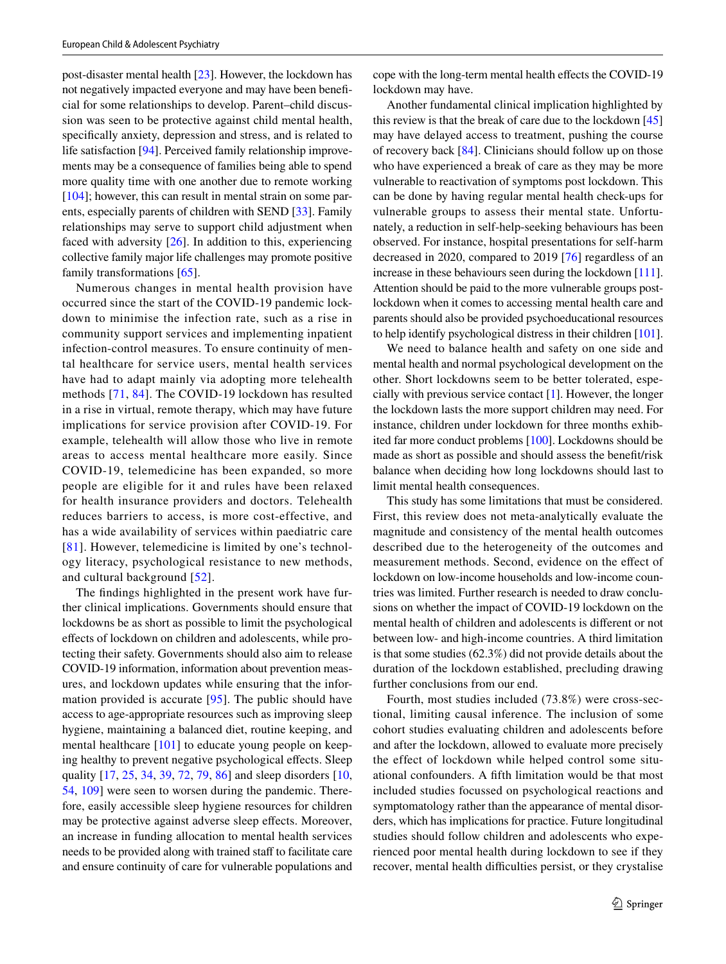post-disaster mental health [23]. However, the lockdown has not negatively impacted everyone and may have been benefcial for some relationships to develop. Parent–child discussion was seen to be protective against child mental health, specifcally anxiety, depression and stress, and is related to life satisfaction [94]. Perceived family relationship improvements may be a consequence of families being able to spend more quality time with one another due to remote working [104]; however, this can result in mental strain on some parents, especially parents of children with SEND [33]. Family relationships may serve to support child adjustment when faced with adversity  $[26]$ . In addition to this, experiencing collective family major life challenges may promote positive family transformations [65].

Numerous changes in mental health provision have occurred since the start of the COVID-19 pandemic lockdown to minimise the infection rate, such as a rise in community support services and implementing inpatient infection-control measures. To ensure continuity of mental healthcare for service users, mental health services have had to adapt mainly via adopting more telehealth methods [71, 84]. The COVID-19 lockdown has resulted in a rise in virtual, remote therapy, which may have future implications for service provision after COVID-19. For example, telehealth will allow those who live in remote areas to access mental healthcare more easily. Since COVID-19, telemedicine has been expanded, so more people are eligible for it and rules have been relaxed for health insurance providers and doctors. Telehealth reduces barriers to access, is more cost-effective, and has a wide availability of services within paediatric care [81]. However, telemedicine is limited by one's technology literacy, psychological resistance to new methods, and cultural background [52].

The fndings highlighted in the present work have further clinical implications. Governments should ensure that lockdowns be as short as possible to limit the psychological efects of lockdown on children and adolescents, while protecting their safety. Governments should also aim to release COVID-19 information, information about prevention measures, and lockdown updates while ensuring that the information provided is accurate [95]. The public should have access to age-appropriate resources such as improving sleep hygiene, maintaining a balanced diet, routine keeping, and mental healthcare [101] to educate young people on keeping healthy to prevent negative psychological efects. Sleep quality [17, 25, 34, 39, 72, 79, 86] and sleep disorders [10, 54, 109] were seen to worsen during the pandemic. Therefore, easily accessible sleep hygiene resources for children may be protective against adverse sleep effects. Moreover, an increase in funding allocation to mental health services needs to be provided along with trained staff to facilitate care and ensure continuity of care for vulnerable populations and cope with the long-term mental health efects the COVID-19 lockdown may have.

Another fundamental clinical implication highlighted by this review is that the break of care due to the lockdown  $[45]$ may have delayed access to treatment, pushing the course of recovery back [84]. Clinicians should follow up on those who have experienced a break of care as they may be more vulnerable to reactivation of symptoms post lockdown. This can be done by having regular mental health check-ups for vulnerable groups to assess their mental state. Unfortunately, a reduction in self-help-seeking behaviours has been observed. For instance, hospital presentations for self-harm decreased in 2020, compared to 2019 [76] regardless of an increase in these behaviours seen during the lockdown [111]. Attention should be paid to the more vulnerable groups postlockdown when it comes to accessing mental health care and parents should also be provided psychoeducational resources to help identify psychological distress in their children [101].

We need to balance health and safety on one side and mental health and normal psychological development on the other. Short lockdowns seem to be better tolerated, especially with previous service contact [1]. However, the longer the lockdown lasts the more support children may need. For instance, children under lockdown for three months exhibited far more conduct problems [100]. Lockdowns should be made as short as possible and should assess the beneft/risk balance when deciding how long lockdowns should last to limit mental health consequences.

This study has some limitations that must be considered. First, this review does not meta-analytically evaluate the magnitude and consistency of the mental health outcomes described due to the heterogeneity of the outcomes and measurement methods. Second, evidence on the efect of lockdown on low-income households and low-income countries was limited. Further research is needed to draw conclusions on whether the impact of COVID-19 lockdown on the mental health of children and adolescents is diferent or not between low- and high-income countries. A third limitation is that some studies (62.3%) did not provide details about the duration of the lockdown established, precluding drawing further conclusions from our end.

Fourth, most studies included (73.8%) were cross-sectional, limiting causal inference. The inclusion of some cohort studies evaluating children and adolescents before and after the lockdown, allowed to evaluate more precisely the effect of lockdown while helped control some situational confounders. A ffth limitation would be that most included studies focussed on psychological reactions and symptomatology rather than the appearance of mental disorders, which has implications for practice. Future longitudinal studies should follow children and adolescents who experienced poor mental health during lockdown to see if they recover, mental health difficulties persist, or they crystalise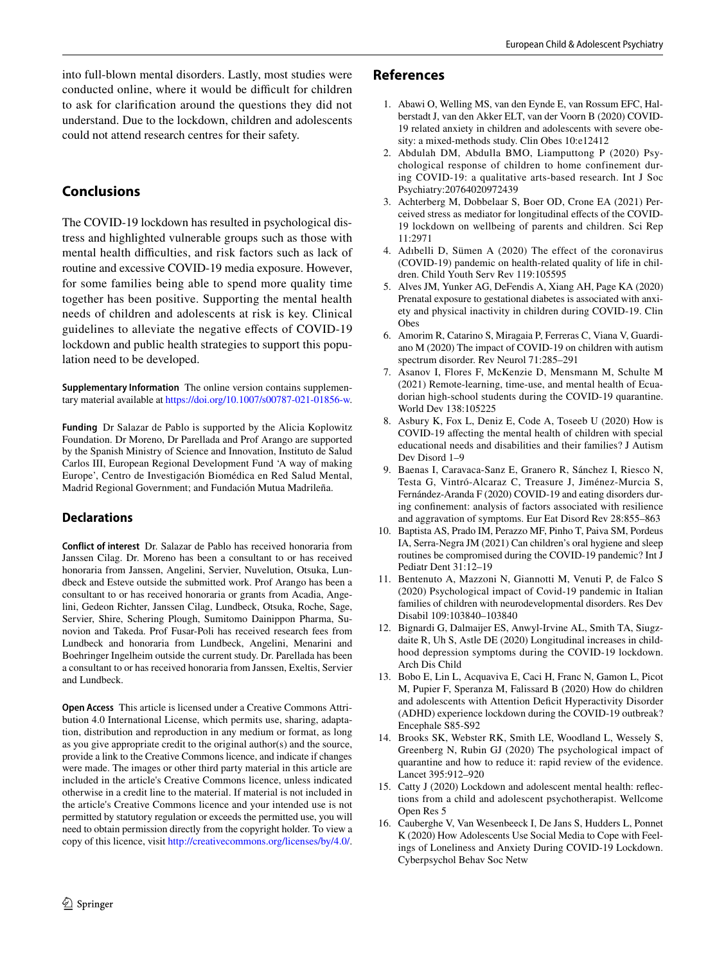into full-blown mental disorders. Lastly, most studies were conducted online, where it would be difficult for children to ask for clarifcation around the questions they did not understand. Due to the lockdown, children and adolescents could not attend research centres for their safety.

## **Conclusions**

The COVID-19 lockdown has resulted in psychological distress and highlighted vulnerable groups such as those with mental health difficulties, and risk factors such as lack of routine and excessive COVID-19 media exposure. However, for some families being able to spend more quality time together has been positive. Supporting the mental health needs of children and adolescents at risk is key. Clinical guidelines to alleviate the negative efects of COVID-19 lockdown and public health strategies to support this population need to be developed.

**Supplementary Information** The online version contains supplementary material available at https://doi.org/10.1007/s00787-021-01856-w.

**Funding** Dr Salazar de Pablo is supported by the Alicia Koplowitz Foundation. Dr Moreno, Dr Parellada and Prof Arango are supported by the Spanish Ministry of Science and Innovation, Instituto de Salud Carlos III, European Regional Development Fund 'A way of making Europe', Centro de Investigación Biomédica en Red Salud Mental, Madrid Regional Government; and Fundación Mutua Madrileña.

## **Declarations**

**Conflict of interest** Dr. Salazar de Pablo has received honoraria from Janssen Cilag. Dr. Moreno has been a consultant to or has received honoraria from Janssen, Angelini, Servier, Nuvelution, Otsuka, Lundbeck and Esteve outside the submitted work. Prof Arango has been a consultant to or has received honoraria or grants from Acadia, Angelini, Gedeon Richter, Janssen Cilag, Lundbeck, Otsuka, Roche, Sage, Servier, Shire, Schering Plough, Sumitomo Dainippon Pharma, Sunovion and Takeda. Prof Fusar-Poli has received research fees from Lundbeck and honoraria from Lundbeck, Angelini, Menarini and Boehringer Ingelheim outside the current study. Dr. Parellada has been a consultant to or has received honoraria from Janssen, Exeltis, Servier and Lundbeck.

**Open Access** This article is licensed under a Creative Commons Attribution 4.0 International License, which permits use, sharing, adaptation, distribution and reproduction in any medium or format, as long as you give appropriate credit to the original author(s) and the source, provide a link to the Creative Commons licence, and indicate if changes were made. The images or other third party material in this article are included in the article's Creative Commons licence, unless indicated otherwise in a credit line to the material. If material is not included in the article's Creative Commons licence and your intended use is not permitted by statutory regulation or exceeds the permitted use, you will need to obtain permission directly from the copyright holder. To view a copy of this licence, visit http://creativecommons.org/licenses/by/4.0/.

- 1. Abawi O, Welling MS, van den Eynde E, van Rossum EFC, Halberstadt J, van den Akker ELT, van der Voorn B (2020) COVID-19 related anxiety in children and adolescents with severe obesity: a mixed-methods study. Clin Obes 10:e12412
- 2. Abdulah DM, Abdulla BMO, Liamputtong P (2020) Psychological response of children to home confinement during COVID-19: a qualitative arts-based research. Int J Soc Psychiatry:20764020972439
- 3. Achterberg M, Dobbelaar S, Boer OD, Crone EA (2021) Perceived stress as mediator for longitudinal efects of the COVID-19 lockdown on wellbeing of parents and children. Sci Rep 11:2971
- 4. Adıbelli D, Sümen A (2020) The effect of the coronavirus (COVID-19) pandemic on health-related quality of life in children. Child Youth Serv Rev 119:105595
- 5. Alves JM, Yunker AG, DeFendis A, Xiang AH, Page KA (2020) Prenatal exposure to gestational diabetes is associated with anxiety and physical inactivity in children during COVID-19. Clin Obes
- 6. Amorim R, Catarino S, Miragaia P, Ferreras C, Viana V, Guardiano M (2020) The impact of COVID-19 on children with autism spectrum disorder. Rev Neurol 71:285–291
- 7. Asanov I, Flores F, McKenzie D, Mensmann M, Schulte M (2021) Remote-learning, time-use, and mental health of Ecuadorian high-school students during the COVID-19 quarantine. World Dev 138:105225
- 8. Asbury K, Fox L, Deniz E, Code A, Toseeb U (2020) How is COVID-19 afecting the mental health of children with special educational needs and disabilities and their families? J Autism Dev Disord 1–9
- 9. Baenas I, Caravaca-Sanz E, Granero R, Sánchez I, Riesco N, Testa G, Vintró-Alcaraz C, Treasure J, Jiménez-Murcia S, Fernández-Aranda F (2020) COVID-19 and eating disorders during confnement: analysis of factors associated with resilience and aggravation of symptoms. Eur Eat Disord Rev 28:855–863
- 10. Baptista AS, Prado IM, Perazzo MF, Pinho T, Paiva SM, Pordeus IA, Serra-Negra JM (2021) Can children's oral hygiene and sleep routines be compromised during the COVID-19 pandemic? Int J Pediatr Dent 31:12–19
- 11. Bentenuto A, Mazzoni N, Giannotti M, Venuti P, de Falco S (2020) Psychological impact of Covid-19 pandemic in Italian families of children with neurodevelopmental disorders. Res Dev Disabil 109:103840–103840
- 12. Bignardi G, Dalmaijer ES, Anwyl-Irvine AL, Smith TA, Siugzdaite R, Uh S, Astle DE (2020) Longitudinal increases in childhood depression symptoms during the COVID-19 lockdown. Arch Dis Child
- 13. Bobo E, Lin L, Acquaviva E, Caci H, Franc N, Gamon L, Picot M, Pupier F, Speranza M, Falissard B (2020) How do children and adolescents with Attention Deficit Hyperactivity Disorder (ADHD) experience lockdown during the COVID-19 outbreak? Encephale S85-S92
- 14. Brooks SK, Webster RK, Smith LE, Woodland L, Wessely S, Greenberg N, Rubin GJ (2020) The psychological impact of quarantine and how to reduce it: rapid review of the evidence. Lancet 395:912–920
- 15. Catty J (2020) Lockdown and adolescent mental health: refections from a child and adolescent psychotherapist. Wellcome Open Res 5
- 16. Cauberghe V, Van Wesenbeeck I, De Jans S, Hudders L, Ponnet K (2020) How Adolescents Use Social Media to Cope with Feelings of Loneliness and Anxiety During COVID-19 Lockdown. Cyberpsychol Behav Soc Netw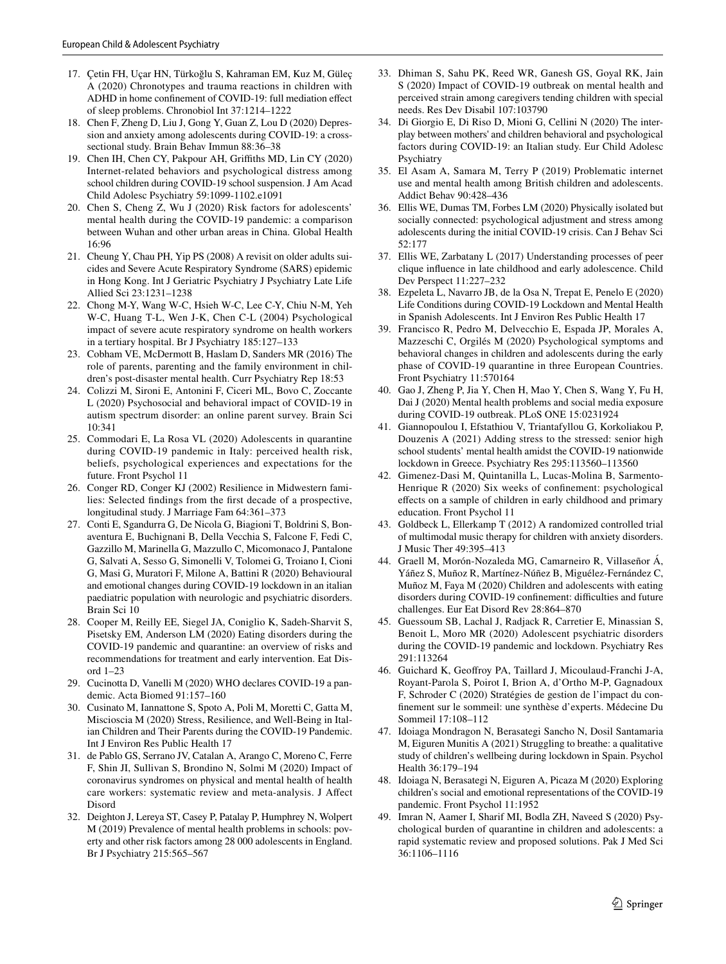- 17. Çetin FH, Uçar HN, Türkoğlu S, Kahraman EM, Kuz M, Güleç A (2020) Chronotypes and trauma reactions in children with ADHD in home confnement of COVID-19: full mediation efect of sleep problems. Chronobiol Int 37:1214–1222
- 18. Chen F, Zheng D, Liu J, Gong Y, Guan Z, Lou D (2020) Depression and anxiety among adolescents during COVID-19: a crosssectional study. Brain Behav Immun 88:36–38
- 19. Chen IH, Chen CY, Pakpour AH, Grifths MD, Lin CY (2020) Internet-related behaviors and psychological distress among school children during COVID-19 school suspension. J Am Acad Child Adolesc Psychiatry 59:1099-1102.e1091
- 20. Chen S, Cheng Z, Wu J (2020) Risk factors for adolescents' mental health during the COVID-19 pandemic: a comparison between Wuhan and other urban areas in China. Global Health 16:96
- 21. Cheung Y, Chau PH, Yip PS (2008) A revisit on older adults suicides and Severe Acute Respiratory Syndrome (SARS) epidemic in Hong Kong. Int J Geriatric Psychiatry J Psychiatry Late Life Allied Sci 23:1231–1238
- 22. Chong M-Y, Wang W-C, Hsieh W-C, Lee C-Y, Chiu N-M, Yeh W-C, Huang T-L, Wen J-K, Chen C-L (2004) Psychological impact of severe acute respiratory syndrome on health workers in a tertiary hospital. Br J Psychiatry 185:127–133
- 23. Cobham VE, McDermott B, Haslam D, Sanders MR (2016) The role of parents, parenting and the family environment in children's post-disaster mental health. Curr Psychiatry Rep 18:53
- 24. Colizzi M, Sironi E, Antonini F, Ciceri ML, Bovo C, Zoccante L (2020) Psychosocial and behavioral impact of COVID-19 in autism spectrum disorder: an online parent survey. Brain Sci 10:341
- 25. Commodari E, La Rosa VL (2020) Adolescents in quarantine during COVID-19 pandemic in Italy: perceived health risk, beliefs, psychological experiences and expectations for the future. Front Psychol 11
- 26. Conger RD, Conger KJ (2002) Resilience in Midwestern families: Selected fndings from the frst decade of a prospective, longitudinal study. J Marriage Fam 64:361–373
- 27. Conti E, Sgandurra G, De Nicola G, Biagioni T, Boldrini S, Bonaventura E, Buchignani B, Della Vecchia S, Falcone F, Fedi C, Gazzillo M, Marinella G, Mazzullo C, Micomonaco J, Pantalone G, Salvati A, Sesso G, Simonelli V, Tolomei G, Troiano I, Cioni G, Masi G, Muratori F, Milone A, Battini R (2020) Behavioural and emotional changes during COVID-19 lockdown in an italian paediatric population with neurologic and psychiatric disorders. Brain Sci 10
- 28. Cooper M, Reilly EE, Siegel JA, Coniglio K, Sadeh-Sharvit S, Pisetsky EM, Anderson LM (2020) Eating disorders during the COVID-19 pandemic and quarantine: an overview of risks and recommendations for treatment and early intervention. Eat Disord 1–23
- 29. Cucinotta D, Vanelli M (2020) WHO declares COVID-19 a pandemic. Acta Biomed 91:157–160
- 30. Cusinato M, Iannattone S, Spoto A, Poli M, Moretti C, Gatta M, Miscioscia M (2020) Stress, Resilience, and Well-Being in Italian Children and Their Parents during the COVID-19 Pandemic. Int J Environ Res Public Health 17
- 31. de Pablo GS, Serrano JV, Catalan A, Arango C, Moreno C, Ferre F, Shin JI, Sullivan S, Brondino N, Solmi M (2020) Impact of coronavirus syndromes on physical and mental health of health care workers: systematic review and meta-analysis. J Afect Disord
- 32. Deighton J, Lereya ST, Casey P, Patalay P, Humphrey N, Wolpert M (2019) Prevalence of mental health problems in schools: poverty and other risk factors among 28 000 adolescents in England. Br J Psychiatry 215:565–567
- 33. Dhiman S, Sahu PK, Reed WR, Ganesh GS, Goyal RK, Jain S (2020) Impact of COVID-19 outbreak on mental health and perceived strain among caregivers tending children with special needs. Res Dev Disabil 107:103790
- 34. Di Giorgio E, Di Riso D, Mioni G, Cellini N (2020) The interplay between mothers' and children behavioral and psychological factors during COVID-19: an Italian study. Eur Child Adolesc Psychiatry
- 35. El Asam A, Samara M, Terry P (2019) Problematic internet use and mental health among British children and adolescents. Addict Behav 90:428–436
- 36. Ellis WE, Dumas TM, Forbes LM (2020) Physically isolated but socially connected: psychological adjustment and stress among adolescents during the initial COVID-19 crisis. Can J Behav Sci 52:177
- 37. Ellis WE, Zarbatany L (2017) Understanding processes of peer clique infuence in late childhood and early adolescence. Child Dev Perspect 11:227–232
- 38. Ezpeleta L, Navarro JB, de la Osa N, Trepat E, Penelo E (2020) Life Conditions during COVID-19 Lockdown and Mental Health in Spanish Adolescents. Int J Environ Res Public Health 17
- 39. Francisco R, Pedro M, Delvecchio E, Espada JP, Morales A, Mazzeschi C, Orgilés M (2020) Psychological symptoms and behavioral changes in children and adolescents during the early phase of COVID-19 quarantine in three European Countries. Front Psychiatry 11:570164
- 40. Gao J, Zheng P, Jia Y, Chen H, Mao Y, Chen S, Wang Y, Fu H, Dai J (2020) Mental health problems and social media exposure during COVID-19 outbreak. PLoS ONE 15:0231924
- 41. Giannopoulou I, Efstathiou V, Triantafyllou G, Korkoliakou P, Douzenis A (2021) Adding stress to the stressed: senior high school students' mental health amidst the COVID-19 nationwide lockdown in Greece. Psychiatry Res 295:113560–113560
- 42. Gimenez-Dasi M, Quintanilla L, Lucas-Molina B, Sarmento-Henrique R (2020) Six weeks of confnement: psychological efects on a sample of children in early childhood and primary education. Front Psychol 11
- 43. Goldbeck L, Ellerkamp T (2012) A randomized controlled trial of multimodal music therapy for children with anxiety disorders. J Music Ther 49:395–413
- 44. Graell M, Morón-Nozaleda MG, Camarneiro R, Villaseñor Á, Yáñez S, Muñoz R, Martínez-Núñez B, Miguélez-Fernández C, Muñoz M, Faya M (2020) Children and adolescents with eating disorders during COVID-19 confinement: difficulties and future challenges. Eur Eat Disord Rev 28:864–870
- 45. Guessoum SB, Lachal J, Radjack R, Carretier E, Minassian S, Benoit L, Moro MR (2020) Adolescent psychiatric disorders during the COVID-19 pandemic and lockdown. Psychiatry Res 291:113264
- 46. Guichard K, Geofroy PA, Taillard J, Micoulaud-Franchi J-A, Royant-Parola S, Poirot I, Brion A, d'Ortho M-P, Gagnadoux F, Schroder C (2020) Stratégies de gestion de l'impact du confnement sur le sommeil: une synthèse d'experts. Médecine Du Sommeil 17:108–112
- 47. Idoiaga Mondragon N, Berasategi Sancho N, Dosil Santamaria M, Eiguren Munitis A (2021) Struggling to breathe: a qualitative study of children's wellbeing during lockdown in Spain. Psychol Health 36:179–194
- 48. Idoiaga N, Berasategi N, Eiguren A, Picaza M (2020) Exploring children's social and emotional representations of the COVID-19 pandemic. Front Psychol 11:1952
- 49. Imran N, Aamer I, Sharif MI, Bodla ZH, Naveed S (2020) Psychological burden of quarantine in children and adolescents: a rapid systematic review and proposed solutions. Pak J Med Sci 36:1106–1116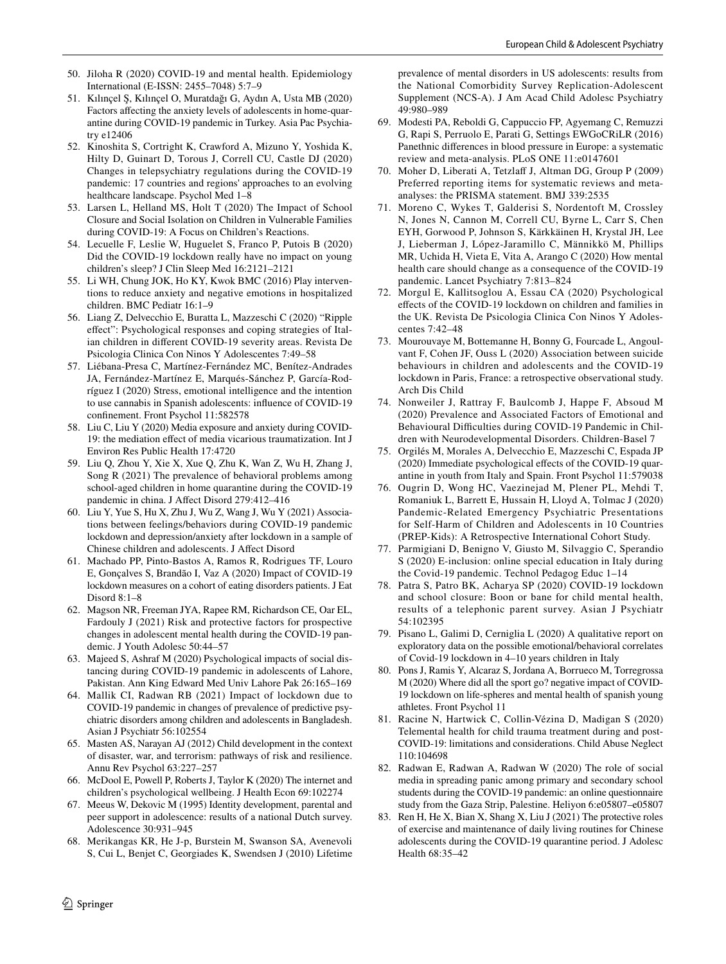- 50. Jiloha R (2020) COVID-19 and mental health. Epidemiology International (E-ISSN: 2455–7048) 5:7–9
- 51. Kılınçel Ş, Kılınçel O, Muratdağı G, Aydın A, Usta MB (2020) Factors affecting the anxiety levels of adolescents in home-quarantine during COVID-19 pandemic in Turkey. Asia Pac Psychiatry e12406
- 52. Kinoshita S, Cortright K, Crawford A, Mizuno Y, Yoshida K, Hilty D, Guinart D, Torous J, Correll CU, Castle DJ (2020) Changes in telepsychiatry regulations during the COVID-19 pandemic: 17 countries and regions' approaches to an evolving healthcare landscape. Psychol Med 1–8
- 53. Larsen L, Helland MS, Holt T (2020) The Impact of School Closure and Social Isolation on Children in Vulnerable Families during COVID-19: A Focus on Children's Reactions.
- 54. Lecuelle F, Leslie W, Huguelet S, Franco P, Putois B (2020) Did the COVID-19 lockdown really have no impact on young children's sleep? J Clin Sleep Med 16:2121–2121
- 55. Li WH, Chung JOK, Ho KY, Kwok BMC (2016) Play interventions to reduce anxiety and negative emotions in hospitalized children. BMC Pediatr 16:1–9
- 56. Liang Z, Delvecchio E, Buratta L, Mazzeschi C (2020) "Ripple efect": Psychological responses and coping strategies of Italian children in diferent COVID-19 severity areas. Revista De Psicologia Clinica Con Ninos Y Adolescentes 7:49–58
- 57. Liébana-Presa C, Martínez-Fernández MC, Benítez-Andrades JA, Fernández-Martínez E, Marqués-Sánchez P, García-Rodríguez I (2020) Stress, emotional intelligence and the intention to use cannabis in Spanish adolescents: infuence of COVID-19 confnement. Front Psychol 11:582578
- 58. Liu C, Liu Y (2020) Media exposure and anxiety during COVID-19: the mediation efect of media vicarious traumatization. Int J Environ Res Public Health 17:4720
- 59. Liu Q, Zhou Y, Xie X, Xue Q, Zhu K, Wan Z, Wu H, Zhang J, Song R (2021) The prevalence of behavioral problems among school-aged children in home quarantine during the COVID-19 pandemic in china. J Afect Disord 279:412–416
- 60. Liu Y, Yue S, Hu X, Zhu J, Wu Z, Wang J, Wu Y (2021) Associations between feelings/behaviors during COVID-19 pandemic lockdown and depression/anxiety after lockdown in a sample of Chinese children and adolescents. J Afect Disord
- 61. Machado PP, Pinto-Bastos A, Ramos R, Rodrigues TF, Louro E, Gonçalves S, Brandão I, Vaz A (2020) Impact of COVID-19 lockdown measures on a cohort of eating disorders patients. J Eat Disord 8:1–8
- 62. Magson NR, Freeman JYA, Rapee RM, Richardson CE, Oar EL, Fardouly J (2021) Risk and protective factors for prospective changes in adolescent mental health during the COVID-19 pandemic. J Youth Adolesc 50:44–57
- 63. Majeed S, Ashraf M (2020) Psychological impacts of social distancing during COVID-19 pandemic in adolescents of Lahore, Pakistan. Ann King Edward Med Univ Lahore Pak 26:165–169
- 64. Mallik CI, Radwan RB (2021) Impact of lockdown due to COVID-19 pandemic in changes of prevalence of predictive psychiatric disorders among children and adolescents in Bangladesh. Asian J Psychiatr 56:102554
- 65. Masten AS, Narayan AJ (2012) Child development in the context of disaster, war, and terrorism: pathways of risk and resilience. Annu Rev Psychol 63:227–257
- 66. McDool E, Powell P, Roberts J, Taylor K (2020) The internet and children's psychological wellbeing. J Health Econ 69:102274
- 67. Meeus W, Dekovic M (1995) Identity development, parental and peer support in adolescence: results of a national Dutch survey. Adolescence 30:931–945
- 68. Merikangas KR, He J-p, Burstein M, Swanson SA, Avenevoli S, Cui L, Benjet C, Georgiades K, Swendsen J (2010) Lifetime

prevalence of mental disorders in US adolescents: results from the National Comorbidity Survey Replication-Adolescent Supplement (NCS-A). J Am Acad Child Adolesc Psychiatry 49:980–989

- 69. Modesti PA, Reboldi G, Cappuccio FP, Agyemang C, Remuzzi G, Rapi S, Perruolo E, Parati G, Settings EWGoCRiLR (2016) Panethnic diferences in blood pressure in Europe: a systematic review and meta-analysis. PLoS ONE 11:e0147601
- 70. Moher D, Liberati A, Tetzlaff J, Altman DG, Group P (2009) Preferred reporting items for systematic reviews and metaanalyses: the PRISMA statement. BMJ 339:2535
- 71. Moreno C, Wykes T, Galderisi S, Nordentoft M, Crossley N, Jones N, Cannon M, Correll CU, Byrne L, Carr S, Chen EYH, Gorwood P, Johnson S, Kärkkäinen H, Krystal JH, Lee J, Lieberman J, López-Jaramillo C, Männikkö M, Phillips MR, Uchida H, Vieta E, Vita A, Arango C (2020) How mental health care should change as a consequence of the COVID-19 pandemic. Lancet Psychiatry 7:813–824
- 72. Morgul E, Kallitsoglou A, Essau CA (2020) Psychological efects of the COVID-19 lockdown on children and families in the UK. Revista De Psicologia Clinica Con Ninos Y Adolescentes 7:42–48
- 73. Mourouvaye M, Bottemanne H, Bonny G, Fourcade L, Angoulvant F, Cohen JF, Ouss L (2020) Association between suicide behaviours in children and adolescents and the COVID-19 lockdown in Paris, France: a retrospective observational study. Arch Dis Child
- 74. Nonweiler J, Rattray F, Baulcomb J, Happe F, Absoud M (2020) Prevalence and Associated Factors of Emotional and Behavioural Difficulties during COVID-19 Pandemic in Children with Neurodevelopmental Disorders. Children-Basel 7
- 75. Orgilés M, Morales A, Delvecchio E, Mazzeschi C, Espada JP (2020) Immediate psychological efects of the COVID-19 quarantine in youth from Italy and Spain. Front Psychol 11:579038
- 76. Ougrin D, Wong HC, Vaezinejad M, Plener PL, Mehdi T, Romaniuk L, Barrett E, Hussain H, Lloyd A, Tolmac J (2020) Pandemic-Related Emergency Psychiatric Presentations for Self-Harm of Children and Adolescents in 10 Countries (PREP-Kids): A Retrospective International Cohort Study.
- 77. Parmigiani D, Benigno V, Giusto M, Silvaggio C, Sperandio S (2020) E-inclusion: online special education in Italy during the Covid-19 pandemic. Technol Pedagog Educ 1–14
- 78. Patra S, Patro BK, Acharya SP (2020) COVID-19 lockdown and school closure: Boon or bane for child mental health, results of a telephonic parent survey. Asian J Psychiatr 54:102395
- 79. Pisano L, Galimi D, Cerniglia L (2020) A qualitative report on exploratory data on the possible emotional/behavioral correlates of Covid-19 lockdown in 4–10 years children in Italy
- 80. Pons J, Ramis Y, Alcaraz S, Jordana A, Borrueco M, Torregrossa M (2020) Where did all the sport go? negative impact of COVID-19 lockdown on life-spheres and mental health of spanish young athletes. Front Psychol 11
- 81. Racine N, Hartwick C, Collin-Vézina D, Madigan S (2020) Telemental health for child trauma treatment during and post-COVID-19: limitations and considerations. Child Abuse Neglect 110:104698
- 82. Radwan E, Radwan A, Radwan W (2020) The role of social media in spreading panic among primary and secondary school students during the COVID-19 pandemic: an online questionnaire study from the Gaza Strip, Palestine. Heliyon 6:e05807–e05807
- 83. Ren H, He X, Bian X, Shang X, Liu J (2021) The protective roles of exercise and maintenance of daily living routines for Chinese adolescents during the COVID-19 quarantine period. J Adolesc Health 68:35–42